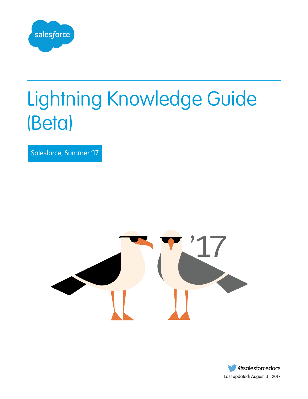

# Lightning Knowledge Guide (Beta)

Salesforce, Summer '17



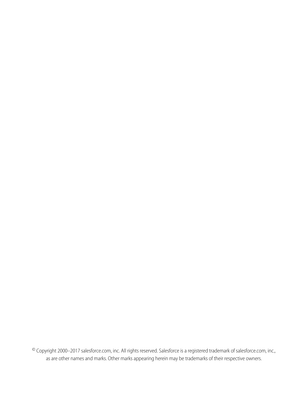© Copyright 2000–2017 salesforce.com, inc. All rights reserved. Salesforce is a registered trademark of salesforce.com, inc., as are other names and marks. Other marks appearing herein may be trademarks of their respective owners.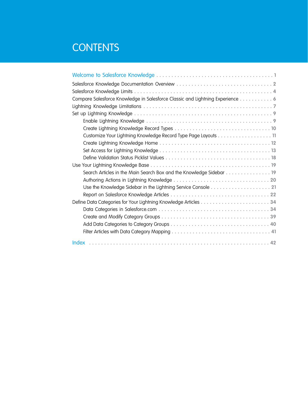# **CONTENTS**

| Compare Salesforce Knowledge in Salesforce Classic and Lightning Experience 6 |
|-------------------------------------------------------------------------------|
|                                                                               |
|                                                                               |
|                                                                               |
|                                                                               |
| Customize Your Lightning Knowledge Record Type Page Layouts 11                |
|                                                                               |
|                                                                               |
|                                                                               |
| Search Articles in the Main Search Box and the Knowledge Sidebar  19          |
|                                                                               |
|                                                                               |
|                                                                               |
|                                                                               |
|                                                                               |
|                                                                               |
|                                                                               |
|                                                                               |
|                                                                               |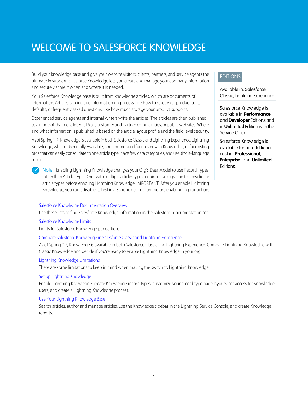# <span id="page-4-1"></span><span id="page-4-0"></span>WELCOME TO SALESFORCE KNOWLEDGE

Build your knowledge base and give your website visitors, clients, partners, and service agents the ultimate in support. Salesforce Knowledge lets you create and manage your company information and securely share it when and where it is needed.

Your Salesforce Knowledge base is built from knowledge articles, which are documents of information. Articles can include information on process, like how to reset your product to its defaults, or frequently asked questions, like how much storage your product supports.

Experienced service agents and internal writers write the articles. The articles are then published to a range of channels: Internal App, customer and partner communities, or public websites. Where and what information is published is based on the article layout profile and the field level security.

As of Spring '17, Knowledge is available in both Salesforce Classic and Lightning Experience. Lightning Knowledge, which is Generally Available, is recommended for orgs new to Knowledge, or for existing orgs that can easily consolidate to one article type, have few data categories, and use single-language mode.

 $\mathbb{Z}$ Note: Enabling Lightning Knowledge changes your Org's Data Model to use Record Types rather than Article Types. Orgs with multiple articles types require data migration to consolidate article types before enabling Lightning Knowledge. IMPORTANT: After you enable Lightning Knowledge, you can't disable it. Test in a Sandbox or Trial org before enabling in production.

### [Salesforce Knowledge Documentation Overview](#page-5-0)

Use these lists to find Salesforce Knowledge information in the Salesforce documentation set.

### [Salesforce Knowledge Limits](#page-7-0)

Limits for Salesforce Knowledge per edition.

### [Compare Salesforce Knowledge in Salesforce Classic and Lightning Experience](#page-9-0)

As of Spring '17, Knowledge is available in both Salesforce Classic and Lightning Experience. Compare Lightning Knowledge with Classic Knowledge and decide if you're ready to enable Lightning Knowledge in your org.

### [Lightning Knowledge Limitations](#page-10-0)

There are some limitations to keep in mind when making the switch to Lightning Knowledge.

### [Set up Lightning Knowledge](#page-12-0)

Enable Lightning Knowledge, create Knowledge record types, customize your record type page layouts, set access for Knowledge users, and create a Lightning Knowledge process.

### [Use Your Lightning Knowledge Base](#page-22-0)

Search articles, author and manage articles, use the Knowledge sidebar in the Lightning Service Console, and create Knowledge reports.

### **EDITIONS**

Available in: Salesforce Classic, Lightning Experience

Salesforce Knowledge is available in **Performance** and **Developer** Editions and in **Unlimited** Edition with the Service Cloud.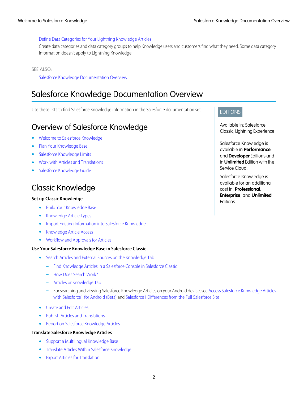### [Define Data Categories for Your Lightning Knowledge Articles](#page-37-0)

Create data categories and data category groups to help Knowledge users and customers find what they need. Some data category information doesn't apply to Lightning Knowledge.

### SEE ALSO:

[Salesforce Knowledge Documentation Overview](#page-5-0)

# <span id="page-5-0"></span>Salesforce Knowledge Documentation Overview

Use these lists to find Salesforce Knowledge information in the Salesforce documentation set.

# Overview of Salesforce Knowledge

- **•** [Welcome to Salesforce Knowledge](#page-4-0)
- **•** [Plan Your Knowledge Base](#knowledge_customizing)
- **•** [Salesforce Knowledge Limits](#page-7-0)
- **•** [Work with Articles and Translations](#knowledge_article_manage)
- **•** [Salesforce Knowledge Guide](https://resources.docs.salesforce.com/208/latest/en-us/sfdc/pdf/salesforce_knowledge_implementation_guide.pdf)

# Classic Knowledge

### **Set up Classic Knowledge**

- **•** [Build Your Knowledge Base](#knowledge_setup)
- **•** [Knowledge Article Types](#knowledge_article_types_manage)
- **•** [Import Existing Information into Salesforce Knowledge](#knowledge_article_importer)
- **•** [Knowledge Article Access](#knowledge_setup_users)
- **•** [Workflow and Approvals for Articles](#knowledge_setup_wflow_approvals)

### **Use Your Salesforce Knowledge Base in Salesforce Classic**

- **•** [Search Articles and External Sources on the Knowledge Tab](#knowledge_tab_search)
	- **–** [Find Knowledge Articles in a Salesforce Console in Salesforce Classic](#console2_find_articles)
	- **–** [How Does Search Work?](#search_how_search_works)
	- **–** [Articles or Knowledge Tab](#knowledge_articles)
	- **–** For searching and viewing Salesforce Knowledge Articles on your Android device, see [Access Salesforce Knowledge Articles](http://docs.releasenotes.salesforce.com/en-us/summer15/release-notes/rn_mobile_salesforce1_newfeat_articles_hybrid.htm) [with Salesforce1 for Android \(Beta\)](http://docs.releasenotes.salesforce.com/en-us/summer15/release-notes/rn_mobile_salesforce1_newfeat_articles_hybrid.htm) and [Salesforce1 Differences from the Full Salesforce Site](http://docs.releasenotes.salesforce.com/en-us/summer15/release-notes/rn_mobile_salesforce1_limits.htm)
- **•** [Create and Edit Articles](#knowledge_article_create)
- **•** [Publish Articles and Translations](#knowledge_article_publish)
- **•** [Report on Salesforce Knowledge Articles](#page-25-0)

### **Translate Salesforce Knowledge Articles**

- **•** [Support a Multilingual Knowledge Base](#knowledge_setup_mulitlingual)
- **•** [Translate Articles Within Salesforce Knowledge](#knowledge_article_translation)
- **•** [Export Articles for Translation](#knowledge_translation_export)

### EDITIONS

Available in: Salesforce Classic, Lightning Experience

Salesforce Knowledge is available in **Performance** and **Developer** Editions and in **Unlimited** Edition with the Service Cloud.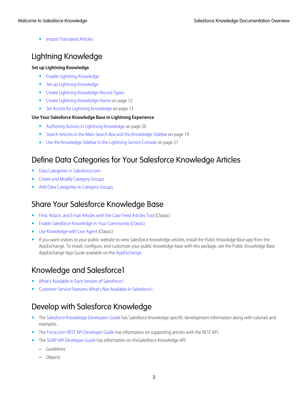**•** [Import Translated Articles](#knowledge_translation_import)

# Lightning Knowledge

### **Set up Lightning Knowledge**

- **•** [Enable Lightning Knowledge](#page-12-1)
- **•** [Set up Lightning Knowledge](#page-12-0)
- **•** [Create Lightning Knowledge Record Types](#page-13-0)
- **•** [Create Lightning Knowledge Home](#page-15-0) on page 12
- [Set Access for Lightning Knowledge](#page-16-0) on page 13

### **Use Your Salesforce Knowledge Base in Lightning Experience**

- **•** [Authoring Actions in Lightning Knowledge](#page-23-0) on page 20
- **•** [Search Articles in the Main Search Box and the Knowledge Sidebar](#page-22-1) on page 19
- **•** [Use the Knowledge Sidebar in the Lightning Service Console](#page-24-0) on page 21

# Define Data Categories for Your Salesforce Knowledge Articles

- **•** [Data Categories in Salesforce.com](#page-37-1)
- **•** [Create and Modify Category Groups](#page-42-0)
- **•** [Add Data Categories to Category Groups](#page-43-0)

# Share Your Salesforce Knowledge Base

- **•** [Find, Attach, and Email Articles with the Case Feed Articles Tool](https://help.salesforce.com/articleView?id=case_interaction_using_articles.htm&language=en_US) (Classic)
- **•** [Enable Salesforce Knowledge in Your Community \(Classic\)](https://help.salesforce.com/articleView?id=networks_knowledge_access.htm&language=en_US)
- **•** [Use Knowledge with Live Agent](https://help.salesforce.com/articleView?id=live_agent_set_up_knowledge_chat_answers.htm&language=en_US) (Classic)
- **•** If you want visitors to your public website to view Salesforce Knowledge articles, install the Public Knowledge Base app from the AppExchange. To install, configure, and customize your public knowledge base with this package, see the Public Knowledge Base AppExchange App Guide available on the [AppExchange](https://appexchange.salesforce.com/servlet/servlet.FileDownload?file=00P3000000P3UNSEA3).

# Knowledge and Salesforce1

- **•** [What's Available in Each Version of Salesforce1](https://help.salesforce.com/articleView?id=sf1_features_to_app_comparison.htm&language=en_US)
- **•** [Customer Service Features: What's Not Available in Salesforce1](https://help.salesforce.com/articleView?id=limits_mobile_sf1_service.htm&language=en_US)

# Develop with Salesforce Knowledge

- **•** The [Salesforce Knowledge Developers Guide](https://developer.salesforce.com/docs/atlas.en-us.200.0.knowledge_dev.meta/knowledge_dev/knowledge_customize_intro.htm) has Salesforce Knowledge specific development information along with tutorials and examples.
- **•** The [Force.com REST API Developer Guide](https://developer.salesforce.com/docs/atlas.en-us.208.0.api_rest.meta/api_rest/intro_what_is_rest_api.htm) has information on supporting articles with the REST API.
- **•** The [SOAP API Developer Guide](https://developer.salesforce.com/docs/atlas.en-us.208.0.api.meta/api/misc_apex.htm) has information on theSalesforce Knowledge API:
	- **–** Guidelines
	- **–** Objects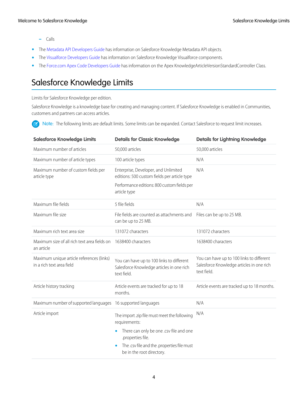- **–** Calls
- **•** The [Metadata API Developers Guide](https://developer.salesforce.com/docs/atlas.en-us.208.0.api_meta.meta/api_meta/meta_intro.htm) has information on Salesforce Knowledge Metadata API objects.
- **•** The [Visualforce Developers Guide](https://developer.salesforce.com/docs/atlas.en-us.208.0.pages.meta/pages/pages_intro.htm) has information on Salesforce Knowledge Visualforce components.
- <span id="page-7-0"></span>**•** The Force.com [Apex Code Developers Guide](https://developer.salesforce.com/docs/atlas.en-us.208.0.apexcode.meta/apexcode/apex_intro_chapter.htm) has information on the Apex KnowledgeArticleVersionStandardController Class.

# Salesforce Knowledge Limits

Limits for Salesforce Knowledge per edition.

Salesforce Knowledge is a knowledge base for creating and managing content. If Salesforce Knowledge is enabled in Communities, customers and partners can access articles.

Note: The following limits are default limits. Some limits can be expanded. Contact Salesforce to request limit increases.  $\sqrt{2}$ 

| <b>Salesforce Knowledge Limits</b>                                     | <b>Details for Classic Knowledge</b>                                                                                                | <b>Details for Lightning Knowledge</b>                                                                |
|------------------------------------------------------------------------|-------------------------------------------------------------------------------------------------------------------------------------|-------------------------------------------------------------------------------------------------------|
| Maximum number of articles                                             | 50,000 articles                                                                                                                     | 50,000 articles                                                                                       |
| Maximum number of article types                                        | 100 article types                                                                                                                   | N/A                                                                                                   |
| Maximum number of custom fields per<br>article type                    | Enterprise, Developer, and Unlimited<br>editions: 500 custom fields per article type<br>Performance editions: 800 custom fields per | N/A                                                                                                   |
|                                                                        | article type                                                                                                                        |                                                                                                       |
| Maximum file fields                                                    | 5 file fields                                                                                                                       | N/A                                                                                                   |
| Maximum file size                                                      | File fields are counted as attachments and<br>can be up to 25 MB.                                                                   | Files can be up to 25 MB.                                                                             |
| Maximum rich text area size                                            | 131072 characters                                                                                                                   | 131072 characters                                                                                     |
| Maximum size of all rich text area fields on<br>an article             | 1638400 characters                                                                                                                  | 1638400 characters                                                                                    |
| Maximum unique article references (links)<br>in a rich text area field | You can have up to 100 links to different<br>Salesforce Knowledge articles in one rich<br>text field.                               | You can have up to 100 links to different<br>Salesforce Knowledge articles in one rich<br>text field. |
| Article history tracking                                               | Article events are tracked for up to 18<br>months.                                                                                  | Article events are tracked up to 18 months.                                                           |
| Maximum number of supported languages 16 supported languages           |                                                                                                                                     | N/A                                                                                                   |
| Article import                                                         | The import .zip file must meet the following<br>requirements:                                                                       | N/A                                                                                                   |
|                                                                        | There can only be one .csv file and one<br>.properties file.                                                                        |                                                                                                       |
|                                                                        | The .csv file and the .properties file must<br>be in the root directory.                                                            |                                                                                                       |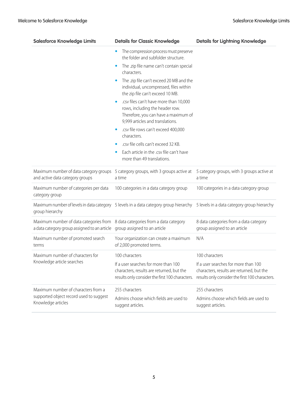| <b>Salesforce Knowledge Limits</b>                                                                                                                         | <b>Details for Classic Knowledge</b>                                                                                                                               | <b>Details for Lightning Knowledge</b>                                                                                               |
|------------------------------------------------------------------------------------------------------------------------------------------------------------|--------------------------------------------------------------------------------------------------------------------------------------------------------------------|--------------------------------------------------------------------------------------------------------------------------------------|
|                                                                                                                                                            | The compression process must preserve<br>the folder and subfolder structure.                                                                                       |                                                                                                                                      |
|                                                                                                                                                            | The .zip file name can't contain special<br>$\bullet$<br>characters.                                                                                               |                                                                                                                                      |
|                                                                                                                                                            | The .zip file can't exceed 20 MB and the<br>individual, uncompressed, files within<br>the zip file can't exceed 10 MB.                                             |                                                                                                                                      |
|                                                                                                                                                            | .csv files can't have more than 10,000<br>$\bullet$<br>rows, including the header row.<br>Therefore, you can have a maximum of<br>9,999 articles and translations. |                                                                                                                                      |
|                                                                                                                                                            | .csv file rows can't exceed 400,000<br>characters.                                                                                                                 |                                                                                                                                      |
|                                                                                                                                                            | .csv file cells can't exceed 32 KB.                                                                                                                                |                                                                                                                                      |
|                                                                                                                                                            | Each article in the .csv file can't have<br>more than 49 translations.                                                                                             |                                                                                                                                      |
| and active data category groups                                                                                                                            | Maximum number of data category groups 5 category groups, with 3 groups active at<br>a time                                                                        | 5 category groups, with 3 groups active at<br>a time                                                                                 |
| Maximum number of categories per data<br>category group                                                                                                    | 100 categories in a data category group                                                                                                                            | 100 categories in a data category group                                                                                              |
| group hierarchy                                                                                                                                            | Maximum number of levels in data category 5 levels in a data category group hierarchy                                                                              | 5 levels in a data category group hierarchy                                                                                          |
| Maximum number of data categories from 8 data categories from a data category<br>a data category group assigned to an article group assigned to an article |                                                                                                                                                                    | 8 data categories from a data category<br>group assigned to an article                                                               |
| Maximum number of promoted search<br>terms                                                                                                                 | Your organization can create a maximum<br>of 2,000 promoted terms.                                                                                                 | N/A                                                                                                                                  |
| Maximum number of characters for                                                                                                                           | 100 characters                                                                                                                                                     | 100 characters                                                                                                                       |
| Knowledge article searches                                                                                                                                 | If a user searches for more than 100<br>characters, results are returned, but the<br>results only consider the first 100 characters.                               | If a user searches for more than 100<br>characters, results are returned, but the<br>results only consider the first 100 characters. |
| Maximum number of characters from a<br>supported object record used to suggest<br>Knowledge articles                                                       | 255 characters<br>Admins choose which fields are used to<br>suggest articles.                                                                                      | 255 characters<br>Admins choose which fields are used to<br>suggest articles.                                                        |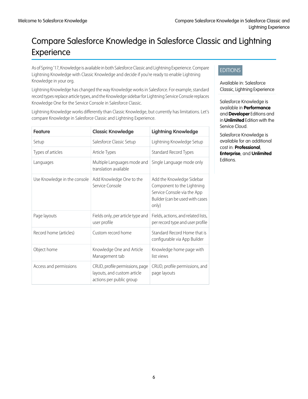# <span id="page-9-0"></span>Compare Salesforce Knowledge in Salesforce Classic and Lightning Experience

As of Spring '17, Knowledge is available in both Salesforce Classic and Lightning Experience. Compare Lightning Knowledge with Classic Knowledge and decide if you're ready to enable Lightning Knowledge in your org.

Lightning Knowledge has changed the way Knowledge works in Salesforce. For example, standard record types replace article types, and the Knowledge sidebar for Lightning Service Console replaces Knowledge One for the Service Console in Salesforce Classic.

Lightning Knowledge works differently than Classic Knowledge, but currently has limitations. Let's compare Knowledge in Salesforce Classic and Lightning Experience.

| <b>Feature</b>               | <b>Classic Knowledge</b>                                                                   | <b>Lightning Knowledge</b>                                                                                                         |
|------------------------------|--------------------------------------------------------------------------------------------|------------------------------------------------------------------------------------------------------------------------------------|
| Setup                        | Salesforce Classic Setup                                                                   | Lightning Knowledge Setup                                                                                                          |
| Types of articles            | Article Types                                                                              | <b>Standard Record Types</b>                                                                                                       |
| Languages                    | Multiple Languages mode and<br>translation available                                       | Single Language mode only                                                                                                          |
| Use Knowledge in the console | Add Knowledge One to the<br>Service Console                                                | Add the Knowledge Sidebar<br>Component to the Lightning<br>Service Console via the App<br>Builder (can be used with cases<br>only) |
| Page layouts                 | Fields only, per article type and<br>user profile                                          | Fields, actions, and related lists,<br>per record type and user profile                                                            |
| Record home (articles)       | Custom record home                                                                         | Standard Record Home that is<br>configurable via App Builder                                                                       |
| Object home                  | Knowledge One and Article<br>Management tab                                                | Knowledge home page with<br>list views                                                                                             |
| Access and permissions       | CRUD, profile permissions, page<br>layouts, and custom article<br>actions per public group | CRUD, profile permissions, and<br>page layouts                                                                                     |

### EDITIONS

Available in: Salesforce Classic, Lightning Experience

Salesforce Knowledge is available in **Performance** and **Developer** Editions and in **Unlimited** Edition with the Service Cloud.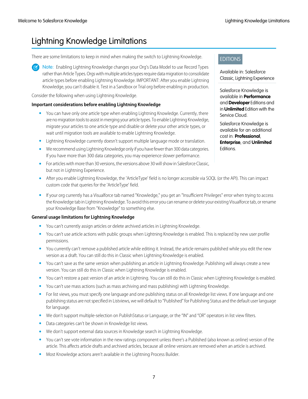# <span id="page-10-0"></span>Lightning Knowledge Limitations

There are some limitations to keep in mind when making the switch to Lightning Knowledge.

Note: Enabling Lightning Knowledge changes your Org's Data Model to use Record Types rather than Article Types. Orgs with multiple articles types require data migration to consolidate article types before enabling Lightning Knowledge. IMPORTANT: After you enable Lightning Knowledge, you can't disable it. Test in a Sandbox or Trial org before enabling in production.

Consider the following when using Lightning Knowledge.

### **Important considerations before enabling Lightning Knowledge**

- **•** You can have only one article type when enabling Lightning Knowledge. Currently, there are no migration tools to assist in merging your article types. To enable Lightning Knowledge, migrate your articles to one article type and disable or delete your other article types, or wait until migration tools are available to enable Lightning Knowledge.
- **•** Lightning Knowledge currently doesn't support multiple language mode or translation.
- **•** We recommend using Lightning Knowledge only if you have fewer than 300 data categories. If you have more than 300 data categories, you may experience slower performance.
- For articles with more than 30 versions, the versions above 30 will show in Salesforce Classic, but not in Lightning Experience.
- **•** After you enable Lightning Knowledge, the 'ArticleType' field is no longer accessible via SOQL (or the API). This can impact custom code that queries for the 'ArticleType' field.
- **•** If your org currently has a Visualforce tab named "Knowledge," you get an "Insufficient Privileges" error when trying to access the Knowledge tab in Lightning Knowledge. To avoid this error you can rename or delete your existing Visualforce tab, or rename your Knowledge Base from "Knowledge" to something else.

### **General usage limitations for Lightning Knowledge**

- **•** You can't currently assign articles or delete archived articles in Lightning Knowledge.
- **•** You can't use article actions with public groups when Lightning Knowledge is enabled. This is replaced by new user profile permissions.
- **•** You currently can't remove a published article while editing it. Instead, the article remains published while you edit the new version as a draft. You can still do this in Classic when Lightning Knowledge is enabled.
- **•** You can't save as the same version when publishing an article in Lightning Knowledge. Publishing will always create a new version. You can still do this in Classic when Lightning Knowledge is enabled.
- **•** You can't restore a past version of an article in Lightning. You can still do this in Classic when Lightning Knowledge is enabled.
- **•** You can't use mass actions (such as mass archiving and mass publishing) with Lightning Knowledge.
- **•** For list views, you must specify one language and one publishing status on all Knowledge list views. If one language and one publishing status are not specified in Listviews, we will default to "Published" for Publishing Status and the default user language for language.
- **•** We don't support multiple-selection on PublishStatus or Language, or the "IN" and "OR" operators in list view filters.
- **•** Data categories can't be shown in Knowledge list views.
- **•** We don't support external data sources in Knowledge search in Lightning Knowledge.
- **•** You can't see vote information in the new ratings component unless there's a Published (also known as online) version of the article. This affects article drafts and archived articles, because all online versions are removed when an article is archived.
- **•** Most Knowledge actions aren't available in the Lightning Process Builder.

EDITIONS

Available in: Salesforce Classic, Lightning Experience

Salesforce Knowledge is available in **Performance** and **Developer** Editions and in **Unlimited** Edition with the Service Cloud.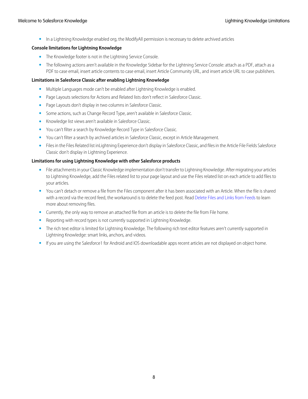**•** In a Lightning Knowledge enabled org, the ModifyAll permission is necessary to delete archived articles

### **Console limitations for Lightning Knowledge**

- **•** The Knowledge footer is not in the Lightning Service Console.
- **•** The following actions aren't available in the Knowledge Sidebar for the Lightning Service Console: attach as a PDF, attach as a PDF to case email, insert article contents to case email, insert Article Community URL, and insert article URL to case publishers.

### **Limitations in Salesforce Classic after enabling Lightning Knowledge**

- **•** Multiple Languages mode can't be enabled after Lightning Knowledge is enabled.
- **•** Page Layouts selections for Actions and Related lists don't reflect in Salesforce Classic.
- **•** Page Layouts don't display in two columns in Salesforce Classic.
- **•** Some actions, such as Change Record Type, aren't available in Salesforce Classic.
- **•** Knowledge list views aren't available in Salesforce Classic.
- **•** You can't filter a search by Knowledge Record Type in Salesforce Classic.
- **•** You can't filter a search by archived articles in Salesforce Classic, except in Article Management.
- **•** Files in the Files Related list inLightning Experience don't display in Salesforce Classic, and files in the Article File Fields Salesforce Classic don't display in Lightning Experience.

### **Limitations for using Lightning Knowledge with other Salesforce products**

- **•** File attachments in your Classic Knowledge implementation don't transfer to Lightning Knowledge. After migrating your articles to Lightning Knowledge, add the Files related list to your page layout and use the Files related list on each article to add files to your articles.
- **•** You can't detach or remove a file from the Files component after it has been associated with an Article. When the file is shared with a record via the record feed, the workaround is to delete the feed post. Read [Delete Files and Links from Feeds](#collab_attachments_del) to learn more about removing files.
- **•** Currently, the only way to remove an attached file from an article is to delete the file from File home.
- **•** Reporting with record types is not currently supported in Lightning Knowledge.
- **•** The rich text editor is limited for Lightning Knowledge. The following rich text editor features aren't currently supported in Lightning Knowledge: smart links, anchors, and videos.
- **•** If you are using the Salesforce1 for Android and IOS downloadable apps recent articles are not displayed on object home.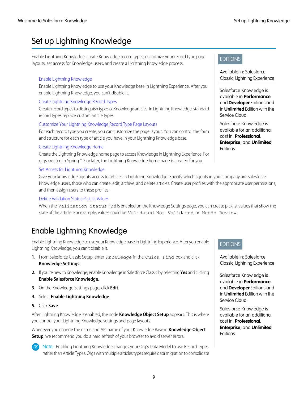# <span id="page-12-0"></span>Set up Lightning Knowledge

Enable Lightning Knowledge, create Knowledge record types, customize your record type page layouts, set access for Knowledge users, and create a Lightning Knowledge process.

### [Enable Lightning Knowledge](#page-12-1)

Enable Lightning Knowledge to use your Knowledge base in Lightning Experience. After you enable Lightning Knowledge, you can't disable it.

### [Create Lightning Knowledge Record Types](#page-13-0)

Create record types to distinguish types of Knowledge articles. In Lightning Knowledge, standard record types replace custom article types.

### [Customize Your Lightning Knowledge Record Type Page Layouts](#page-14-0)

For each record type you create, you can customize the page layout. You can control the form and structure for each type of article you have in your Lightning Knowledge base.

### [Create Lightning Knowledge Home](#page-15-0)

Create the Lightning Knowledge home page to access Knowledge in Lightning Experience. For orgs created in Spring '17 or later, the Lightning Knowledge home page is created for you.

### [Set Access for Lightning Knowledge](#page-16-0)

Give your knowledge agents access to articles in Lightning Knowledge. Specify which agents in your company are Salesforce Knowledge users, those who can create, edit, archive, and delete articles. Create user profiles with the appropriate user permissions, and then assign users to these profiles.

### [Define Validation Status Picklist Values](#page-21-0)

<span id="page-12-1"></span>When the Validation Status field is enabled on the Knowledge Settings page, you can create picklist values that show the state of the article. For example, values could be Validated, Not Validated, or Needs Review.

# Enable Lightning Knowledge

Enable Lightning Knowledge to use your Knowledge base in Lightning Experience. After you enable Lightning Knowledge, you can't disable it.

- **1.** From Salesforce Classic Setup, enter *Knowledge* in the Quick Find box and click **Knowledge Settings**.
- **2.** If you're new to Knowledge, enable Knowledge in Salesforce Classic by selecting **Yes** and clicking **Enable Salesforce Knowledge**.
- **3.** On the Knowledge Settings page, click **Edit**.
- **4.** Select **Enable Lightning Knowledge**.
- **5.** Click **Save**.

After Lightning Knowledge is enabled, the node **Knowledge Object Setup** appears. This is where you control your Lightning Knowledge settings and page layouts.

Whenever you change the name and API name of your Knowledge Base in **Knowledge Object Setup**, we recommend you do a hard refresh of your browser to avoid server errors.



Note: Enabling Lightning Knowledge changes your Org's Data Model to use Record Types rather than Article Types. Orgs with multiple articles types require data migration to consolidate

### EDITIONS

Available in: Salesforce Classic, Lightning Experience

Salesforce Knowledge is available in **Performance** and **Developer** Editions and in **Unlimited** Edition with the Service Cloud.

Salesforce Knowledge is available for an additional cost in: **Professional**, **Enterprise**, and **Unlimited** Editions.

### EDITIONS

Available in: Salesforce Classic, Lightning Experience

Salesforce Knowledge is available in **Performance** and **Developer** Editions and in **Unlimited** Edition with the Service Cloud.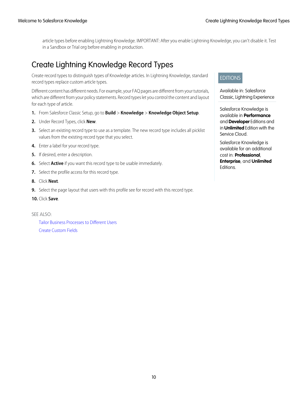article types before enabling Lightning Knowledge. IMPORTANT: After you enable Lightning Knowledge, you can't disable it. Test in a Sandbox or Trial org before enabling in production.

# <span id="page-13-0"></span>Create Lightning Knowledge Record Types

Create record types to distinguish types of Knowledge articles. In Lightning Knowledge, standard record types replace custom article types.

Different content has different needs. For example, your FAQ pages are different from your tutorials, which are different from your policy statements. Record types let you control the content and layout for each type of article.

- **1.** From Salesforce Classic Setup, go to **Build** > **Knowledge** > **Knowledge Object Setup**.
- **2.** Under Record Types, click **New**.
- **3.** Select an existing record type to use as a template. The new record type includes all picklist values from the existing record type that you select.
- **4.** Enter a label for your record type.
- **5.** If desired, enter a description.
- **6.** Select **Active** if you want this record type to be usable immediately.
- **7.** Select the profile access for this record type.
- **8.** Click **Next**.
- **9.** Select the page layout that users with this profile see for record with this record type.
- **10.** Click **Save**.

SEE ALSO: [Tailor Business Processes to Different Users](#customize_recordtype) [Create Custom Fields](#adding_fields)

### EDITIONS

Available in: Salesforce Classic, Lightning Experience

Salesforce Knowledge is available in **Performance** and **Developer** Editions and in **Unlimited** Edition with the Service Cloud.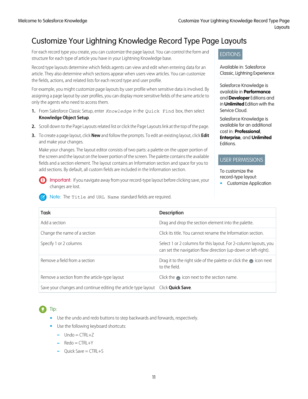# <span id="page-14-0"></span>Customize Your Lightning Knowledge Record Type Page Layouts

For each record type you create, you can customize the page layout. You can control the form and structure for each type of article you have in your Lightning Knowledge base.

Record type layouts determine which fields agents can view and edit when entering data for an article. They also determine which sections appear when users view articles. You can customize the fields, actions, and related lists for each record type and user profile.

For example, you might customize page layouts by user profile when sensitive data is involved. By assigning a page layout by user profiles, you can display more sensitive fields of the same article to only the agents who need to access them.

- **1.** From Salesforce Classic Setup, enter *Knowledge* in the Quick Find box, then select **Knowledge Object Setup**.
- **2.** Scroll down to the Page Layouts related list or click the Page Layouts link at the top of the page.
- **3.** To create a page layout, click **New** and follow the prompts. To edit an existing layout, click **Edit** and make your changes.

Make your changes. The layout editor consists of two parts: a palette on the upper portion of the screen and the layout on the lower portion of the screen. The palette contains the available fields and a section element. The layout contains an Information section and space for you to add sections. By default, all custom fields are included in the Information section.

Important: If you navigate away from your record-type layout before clicking save, your changes are lost.

Note: The Title and URL Name standard fields are required.

### EDITIONS

Available in: Salesforce Classic, Lightning Experience

Salesforce Knowledge is available in **Performance** and **Developer** Editions and in **Unlimited** Edition with the Service Cloud.

Salesforce Knowledge is available for an additional cost in: **Professional**, **Enterprise**, and **Unlimited** Editions.

### USER PERMISSIONS

To customize the record-type layout:

**•** Customize Application

| <b>Task</b>                                                    | <b>Description</b>                                                                                                                 |
|----------------------------------------------------------------|------------------------------------------------------------------------------------------------------------------------------------|
| Add a section                                                  | Drag and drop the section element into the palette.                                                                                |
| Change the name of a section                                   | Click its title. You cannot rename the Information section.                                                                        |
| Specify 1 or 2 columns                                         | Select 1 or 2 columns for this layout. For 2-column layouts, you<br>can set the navigation flow direction (up-down or left-right). |
| Remove a field from a section                                  | Drag it to the right side of the palette or click the $\bullet$ icon next<br>to the field.                                         |
| Remove a section from the article-type layout                  | Click the $\blacksquare$ icon next to the section name.                                                                            |
| Save your changes and continue editing the article type layout | Click <b>Ouick Save</b> .                                                                                                          |

# Tip:

- **•** Use the undo and redo buttons to step backwards and forwards, respectively.
- **•** Use the following keyboard shortcuts:
	- **–** Undo = CTRL+Z
	- **–** Redo = CTRL+Y
	- **–** Quick Save = CTRL+S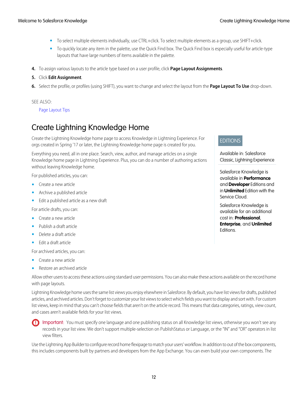- **•** To select multiple elements individually, use CTRL+click. To select multiple elements as a group, use SHIFT+click.
- **•** To quickly locate any item in the palette, use the Quick Find box. The Quick Find box is especially useful for article-type layouts that have large numbers of items available in the palette.
- **4.** To assign various layouts to the article type based on a user profile, click **Page Layout Assignments**.
- **5.** Click **Edit Assignment**.
- **6.** Select the profile, or profiles (using SHIFT), you want to change and select the layout from the **Page Layout To Use** drop-down.

### SEE ALSO:

<span id="page-15-0"></span>[Page Layout Tips](#layouts_tips)

# Create Lightning Knowledge Home

Create the Lightning Knowledge home page to access Knowledge in Lightning Experience. For orgs created in Spring '17 or later, the Lightning Knowledge home page is created for you.

Everything you need, all in one place. Search, view, author, and manage articles on a single Knowledge home page in Lightning Experience. Plus, you can do a number of authoring actions without leaving Knowledge home.

For published articles, you can:

- **•** Create a new article
- **•** Archive a published article
- **•** Edit a published article as a new draft

For article drafts, you can:

- **•** Create a new article
- **•** Publish a draft article
- **•** Delete a draft article
- **•** Edit a draft article

For archived articles, you can:

- **•** Create a new article
- **•** Restore an archived article

Allow other users to access these actions using standard user permissions. You can also make these actions available on the record home with page layouts.

Lightning Knowledge home uses the same list views you enjoy elsewhere in Salesforce. By default, you have list views for drafts, published articles, and archived articles. Don't forget to customize your list views to select which fields you want to display and sort with. For custom list views, keep in mind that you can't choose fields that aren't on the article record. This means that data categories, ratings, view count, and cases aren't available fields for your list views.

Important: You must specify one language and one publishing status on all Knowledge list views, otherwise you won't see any records in your list view. We don't support multiple-selection on PublishStatus or Language, or the "IN" and "OR" operators in list view filters.

Use the Lightning App Builder to configure record home flexipage to match your users' workflow. In addition to out of the box components, this includes components built by partners and developers from the App Exchange. You can even build your own components. The

### EDITIONS

Available in: Salesforce Classic, Lightning Experience

Salesforce Knowledge is available in **Performance** and **Developer** Editions and in **Unlimited** Edition with the Service Cloud.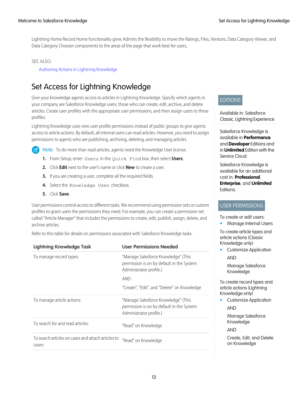Lightning Home Record Home functionality gives Admins the flexibility to move the Ratings, Files, Versions, Data Category Viewer, and Data Category Chooser components to the areas of the page that work best for users,

### SEE ALSO:

[Authoring Actions in Lightning Knowledge](#page-23-0)

# <span id="page-16-0"></span>Set Access for Lightning Knowledge

Give your knowledge agents access to articles in Lightning Knowledge. Specify which agents in your company are Salesforce Knowledge users, those who can create, edit, archive, and delete articles. Create user profiles with the appropriate user permissions, and then assign users to these profiles.

Lightning Knowledge uses new user profile permissions instead of public groups to give agents access to article actions. By default, all internal users can read articles. However, you need to assign permissions to agents who are publishing, archiving, deleting, and managing articles.

Note: To do more than read articles, agents need the Knowledge User license.

- **1.** From Setup, enter *Users* in the Quick Find box, then select **Users**.
- **2.** Click **Edit** next to the user's name or click **New** to create a user.
- **3.** If you are creating a user, complete all the required fields.
- **4.** Select the Knowledge User checkbox.
- **5.** Click **Save**.

User permissions control access to different tasks. We recommend using permission sets or custom profiles to grant users the permissions they need. For example, you can create a permission set called "Article Manager" that includes the permissions to create, edit, publish, assign, delete, and archive articles.

Refer to this table for details on permissions associated with Salesforce Knowledge tasks.

| <b>Lightning Knowledge Task</b>                              | <b>User Permissions Needed</b>                                                                              |
|--------------------------------------------------------------|-------------------------------------------------------------------------------------------------------------|
| To manage record types:                                      | "Manage Salesforce Knowledge" (This<br>permission is on by default in the System<br>Administrator profile.) |
|                                                              | <b>AND</b>                                                                                                  |
|                                                              | "Create", "Edit", and "Delete" on Knowledge                                                                 |
| To manage article actions:                                   | "Manage Salesforce Knowledge" (This<br>permission is on by default in the System<br>Administrator profile.) |
| To search for and read articles:                             | "Read" on Knowledge                                                                                         |
| To search articles on cases and attach articles to<br>cases: | "Read" on Knowledge                                                                                         |
|                                                              |                                                                                                             |

### **EDITIONS**

Available in: Salesforce Classic, Lightning Experience

Salesforce Knowledge is available in **Performance** and **Developer** Editions and in **Unlimited** Edition with the Service Cloud.

Salesforce Knowledge is available for an additional cost in: **Professional**, **Enterprise**, and **Unlimited Editions** 

### USER PERMISSIONS

To create or edit users:

**•** Manage Internal Users

To create article types and article actions (Classic Knowledge only):

**•** Customize Application AND

Manage Salesforce Knowledge

To create record types and article actions (Lightning Knowledge only)

**•** Customize Application AND

> Manage Salesforce Knowledge

AND

Create, Edit, and Delete on Knowledge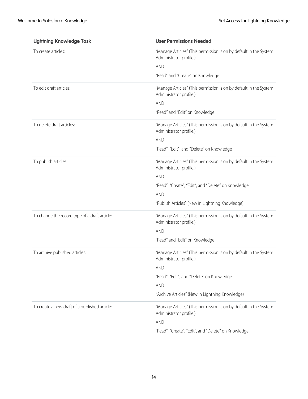| <b>Lightning Knowledge Task</b>               | <b>User Permissions Needed</b>                                                               |  |  |  |  |
|-----------------------------------------------|----------------------------------------------------------------------------------------------|--|--|--|--|
| To create articles:                           | "Manage Articles" (This permission is on by default in the System<br>Administrator profile.) |  |  |  |  |
|                                               | <b>AND</b>                                                                                   |  |  |  |  |
|                                               | "Read" and "Create" on Knowledge                                                             |  |  |  |  |
| To edit draft articles:                       | "Manage Articles" (This permission is on by default in the System<br>Administrator profile.) |  |  |  |  |
|                                               | <b>AND</b>                                                                                   |  |  |  |  |
|                                               | "Read" and "Edit" on Knowledge                                                               |  |  |  |  |
| To delete draft articles:                     | "Manage Articles" (This permission is on by default in the System<br>Administrator profile.) |  |  |  |  |
|                                               | <b>AND</b>                                                                                   |  |  |  |  |
|                                               | "Read", "Edit", and "Delete" on Knowledge                                                    |  |  |  |  |
| To publish articles:                          | "Manage Articles" (This permission is on by default in the System<br>Administrator profile.) |  |  |  |  |
|                                               | <b>AND</b>                                                                                   |  |  |  |  |
|                                               | "Read", "Create", "Edit", and "Delete" on Knowledge                                          |  |  |  |  |
|                                               | <b>AND</b>                                                                                   |  |  |  |  |
|                                               | "Publish Articles" (New in Lightning Knowledge)                                              |  |  |  |  |
| To change the record type of a draft article: | "Manage Articles" (This permission is on by default in the System<br>Administrator profile.) |  |  |  |  |
|                                               | <b>AND</b>                                                                                   |  |  |  |  |
|                                               | "Read" and "Edit" on Knowledge                                                               |  |  |  |  |
| To archive published articles:                | "Manage Articles" (This permission is on by default in the System<br>Administrator profile.) |  |  |  |  |
|                                               | <b>AND</b>                                                                                   |  |  |  |  |
|                                               | "Read", "Edit", and "Delete" on Knowledge                                                    |  |  |  |  |
|                                               | <b>AND</b>                                                                                   |  |  |  |  |
|                                               | "Archive Articles" (New in Lightning Knowledge)                                              |  |  |  |  |
| To create a new draft of a published article: | "Manage Articles" (This permission is on by default in the System<br>Administrator profile.) |  |  |  |  |
|                                               | <b>AND</b>                                                                                   |  |  |  |  |
|                                               | "Read", "Create", "Edit", and "Delete" on Knowledge                                          |  |  |  |  |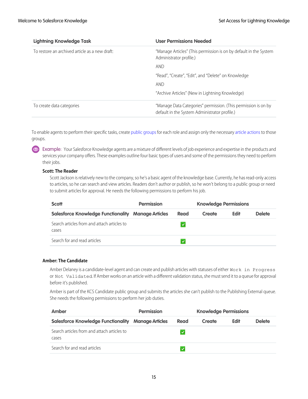| <b>Lightning Knowledge Task</b>                | <b>User Permissions Needed</b>                                                                                  |
|------------------------------------------------|-----------------------------------------------------------------------------------------------------------------|
| To restore an archived article as a new draft: | "Manage Articles" (This permission is on by default in the System<br>Administrator profile.)                    |
|                                                | <b>AND</b>                                                                                                      |
|                                                | "Read", "Create", "Edit", and "Delete" on Knowledge                                                             |
|                                                | <b>AND</b>                                                                                                      |
|                                                | "Archive Articles" (New in Lightning Knowledge)                                                                 |
| To create data categories                      | "Manage Data Categories" permission. (This permission is on by<br>default in the System Administrator profile.) |

To enable agents to perform their specific tasks, create [public groups](#knowledge_setup_assign_users) for each role and assign only the necessary [article actions](#knowledge_article_actions) to those groups.

Example: Your Salesforce Knowledge agents are a mixture of different levels of job experience and expertise in the products and services your company offers. These examples outline four basic types of users and some of the permissions they need to perform their jobs.

### **Scott: The Reader**

Scott Jackson is relatively new to the company, so he's a basic agent of the knowledge base. Currently, he has read-only access to articles, so he can search and view articles. Readers don't author or publish, so he won't belong to a public group or need to submit articles for approval. He needs the following permissions to perform his job.

| <b>Scott</b>                                              | <b>Permission</b> |              |        |             |               | <b>Knowledge Permissions</b> |  |
|-----------------------------------------------------------|-------------------|--------------|--------|-------------|---------------|------------------------------|--|
| <b>Salesforce Knowledge Functionality Manage Articles</b> |                   | Read         | Create | <b>Edit</b> | <b>Delete</b> |                              |  |
| Search articles from and attach articles to<br>cases      |                   |              |        |             |               |                              |  |
| Search for and read articles                              |                   | $\checkmark$ |        |             |               |                              |  |

### **Amber: The Candidate**

Amber Delaney is a candidate-level agent and can create and publish articles with statuses of either Work in Progress or Not Validated. If Amber works on an article with a different validation status, she must send it to a queue for approval before it's published.

Amber is part of the KCS Candidate public group and submits the articles she can't publish to the Publishing External queue. She needs the following permissions to perform her job duties.

| Amber                                                     | <b>Permission</b> |      |        | <b>Knowledge Permissions</b> |               |  |  |
|-----------------------------------------------------------|-------------------|------|--------|------------------------------|---------------|--|--|
| <b>Salesforce Knowledge Functionality Manage Articles</b> |                   | Read | Create | <b>Edit</b>                  | <b>Delete</b> |  |  |
| Search articles from and attach articles to<br>cases      |                   |      |        |                              |               |  |  |
| Search for and read articles                              |                   |      |        |                              |               |  |  |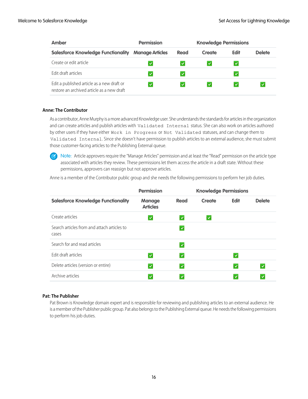| Amber                                                                                    | <b>Permission</b><br><b>Knowledge Permissions</b> |              |              |              |               |
|------------------------------------------------------------------------------------------|---------------------------------------------------|--------------|--------------|--------------|---------------|
| <b>Salesforce Knowledge Functionality</b>                                                | <b>Manage Articles</b>                            | Read         | Create       | <b>Edit</b>  | <b>Delete</b> |
| Create or edit article                                                                   | $\checkmark$                                      | $\checkmark$ | $\checkmark$ | $\checkmark$ |               |
| Edit draft articles                                                                      | $\checkmark$                                      | $\checkmark$ |              |              |               |
| Edit a published article as a new draft or<br>restore an archived article as a new draft | $\checkmark$                                      | $\checkmark$ | $\checkmark$ |              | $\checkmark$  |

### **Anne: The Contributor**

As a contributor, Anne Murphy is a more advanced Knowledge user. She understands the standards for articles in the organization and can create articles and publish articles with Validated Internal status. She can also work on articles authored by other users if they have either Work in Progress or Not Validated statuses, and can change them to Validated Internal. Since she doesn't have permission to publish articles to an external audience, she must submit those customer-facing articles to the Publishing External queue.

Note: Article approvers require the "Manage Articles" permission and at least the "Read" permission on the article type associated with articles they review. These permissions let them access the article in a draft state. Without these permissions, approvers can reassign but not approve articles.

Anne is a member of the Contributor public group and she needs the following permissions to perform her job duties.

|                                                      | <b>Permission</b>                |                      | <b>Knowledge Permissions</b> |              |               |
|------------------------------------------------------|----------------------------------|----------------------|------------------------------|--------------|---------------|
| <b>Salesforce Knowledge Functionality</b>            | <b>Manage</b><br><b>Articles</b> | Read                 | Create                       | <b>Edit</b>  | <b>Delete</b> |
| Create articles                                      |                                  | $\checkmark$         | $\checkmark$                 |              |               |
| Search articles from and attach articles to<br>cases |                                  | $\checkmark$         |                              |              |               |
| Search for and read articles                         |                                  | $\blacktriangledown$ |                              |              |               |
| Edit draft articles                                  |                                  | $\checkmark$         |                              | $\checkmark$ |               |
| Delete articles (version or entire)                  |                                  | $\checkmark$         |                              | $\checkmark$ | $\checkmark$  |
| Archive articles                                     |                                  | $\checkmark$         |                              | $\checkmark$ | ⋑             |

### **Pat: The Publisher**

Pat Brown is Knowledge domain expert and is responsible for reviewing and publishing articles to an external audience. He is a member of the Publisher public group. Pat also belongs to the Publishing External queue. He needs the following permissions to perform his job duties.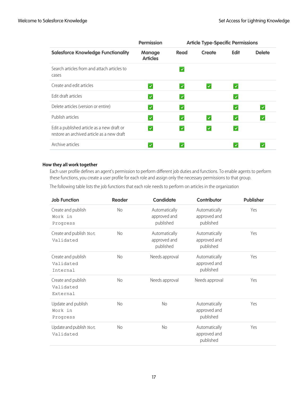|                                                                                          | <b>Permission</b>                |              | <b>Article Type-Specific Permissions</b> |              |               |
|------------------------------------------------------------------------------------------|----------------------------------|--------------|------------------------------------------|--------------|---------------|
| <b>Salesforce Knowledge Functionality</b>                                                | <b>Manage</b><br><b>Articles</b> | Read         | Create                                   | <b>Edit</b>  | <b>Delete</b> |
| Search articles from and attach articles to<br>cases                                     |                                  | $\checkmark$ |                                          |              |               |
| Create and edit articles                                                                 | $\checkmark$                     | $\checkmark$ | $\checkmark$                             | $\checkmark$ |               |
| Edit draft articles                                                                      | $\checkmark$                     | $\checkmark$ |                                          | $\checkmark$ |               |
| Delete articles (version or entire)                                                      | $\checkmark$                     | $\checkmark$ |                                          | $\checkmark$ | $\checkmark$  |
| Publish articles                                                                         | $\checkmark$                     | $\checkmark$ | $\checkmark$                             | $\checkmark$ | $\checkmark$  |
| Edit a published article as a new draft or<br>restore an archived article as a new draft | $\checkmark$                     | $\checkmark$ | ᢦ                                        | $\checkmark$ |               |
| Archive articles                                                                         |                                  |              |                                          | $\checkmark$ |               |

### **How they all work together**

Each user profile defines an agent's permission to perform different job duties and functions. To enable agents to perform these functions, you create a user profile for each role and assign only the necessary permissions to that group.

The following table lists the job functions that each role needs to perform on articles in the organization

| <b>Job Function</b>                         | <b>Reader</b>  | <b>Candidate</b>                           | <b>Contributor</b>                         | <b>Publisher</b> |
|---------------------------------------------|----------------|--------------------------------------------|--------------------------------------------|------------------|
| Create and publish<br>Work in<br>Progress   | No.            | Automatically<br>approved and<br>published | Automatically<br>approved and<br>published | Yes              |
| Create and publish Not<br>Validated         | N <sub>o</sub> | Automatically<br>approved and<br>published | Automatically<br>approved and<br>published | Yes              |
| Create and publish<br>Validated<br>Internal | N <sub>o</sub> | Needs approval                             | Automatically<br>approved and<br>published | Yes              |
| Create and publish<br>Validated<br>External | No.            | Needs approval                             | Needs approval                             | Yes              |
| Update and publish<br>Work in<br>Progress   | N <sub>o</sub> | <b>No</b>                                  | Automatically<br>approved and<br>published | Yes              |
| Update and publish Not<br>Validated         | <b>No</b>      | No                                         | Automatically<br>approved and<br>published | Yes              |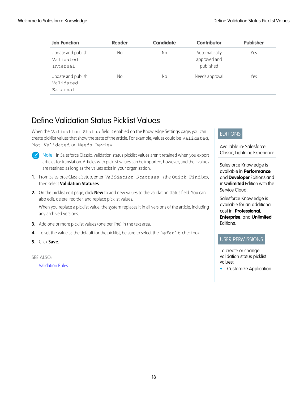| <b>Job Function</b>                         | <b>Reader</b> | <b>Candidate</b> | Contributor                                | <b>Publisher</b> |
|---------------------------------------------|---------------|------------------|--------------------------------------------|------------------|
| Update and publish<br>Validated<br>Internal | No            | No               | Automatically<br>approved and<br>published | Yes              |
| Update and publish<br>Validated<br>External | No            | No               | Needs approval                             | Yes              |

# <span id="page-21-0"></span>Define Validation Status Picklist Values

When the Validation Status field is enabled on the Knowledge Settings page, you can create picklist values that show the state of the article. For example, values could be Validated, Not Validated, or Needs Review.

 $\mathbb{Z}$ 

Note: In Salesforce Classic, validation status picklist values aren't retained when you export articles for translation. Articles with picklist values can be imported, however, and their values are retained as long as the values exist in your organization.

- **1.** From Salesforce Classic Setup, enter *Validation Statuses* in the Quick Find box, then select **Validation Statuses**.
- **2.** On the picklist edit page, click **New** to add new values to the validation status field. You can also edit, delete, reorder, and replace picklist values.

When you replace a picklist value, the system replaces it in all versions of the article, including any archived versions.

- **3.** Add one or more picklist values (one per line) in the text area.
- **4.** To set the value as the default for the picklist, be sure to select the Default checkbox.
- **5.** Click **Save**.

SEE ALSO:

[Validation Rules](#fields_about_field_validation)

### EDITIONS

Available in: Salesforce Classic, Lightning Experience

Salesforce Knowledge is available in **Performance** and **Developer** Editions and in **Unlimited** Edition with the Service Cloud.

Salesforce Knowledge is available for an additional cost in: **Professional**, **Enterprise**, and **Unlimited** Editions.

### USER PERMISSIONS

To create or change validation status picklist values:

**•** Customize Application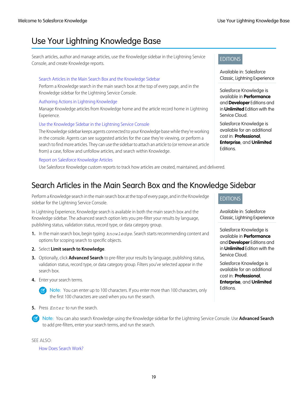# <span id="page-22-0"></span>Use Your Lightning Knowledge Base

Search articles, author and manage articles, use the Knowledge sidebar in the Lightning Service Console, and create Knowledge reports.

### [Search Articles in the Main Search Box and the Knowledge Sidebar](#page-22-1)

Perform a Knowledge search in the main search box at the top of every page, and in the Knowledge sidebar for the Lightning Service Console.

### [Authoring Actions in Lightning Knowledge](#page-23-0)

Manage Knowledge articles from Knowledge home and the article record home in Lightning Experience.

### [Use the Knowledge Sidebar in the Lightning Service Console](#page-24-0)

The Knowledge sidebar keeps agents connected to your Knowledge base while they're working in the console. Agents can see suggested articles for the case they're viewing, or perform a search to find more articles. They can use the sidebar to attach an article to (or remove an article from) a case, follow and unfollow articles, and search within Knowledge.

### [Report on Salesforce Knowledge Articles](#page-25-0)

<span id="page-22-1"></span>Use Salesforce Knowledge custom reports to track how articles are created, maintained, and delivered.

# Search Articles in the Main Search Box and the Knowledge Sidebar

Perform a Knowledge search in the main search box at the top of every page, and in the Knowledge sidebar for the Lightning Service Console.

In Lightning Experience, Knowledge search is available in both the main search box and the Knowledge sidebar. The advanced search option lets you pre-filter your results by language, publishing status, validation status, record type, or data category group.

- **1.** In the main search box, begin typing *knowledge*. Search starts recommending content and options for scoping search to specific objects.
- **2.** Select **Limit search to Knowledge**.
- **3.** Optionally, click **Advanced Search** to pre-filter your results by language, publishing status, validation status, record type, or data category group. Filters you've selected appear in the search box.
- **4.** Enter your search terms.
	- Note: You can enter up to 100 characters. If you enter more than 100 characters, only the first 100 characters are used when you run the search.
- **5.** Press *Enter* to run the search.
	- Note: You can also search Knowledge using the Knowledge sidebar for the Lightning Service Console. Use **Advanced Search** to add pre-filters, enter your search terms, and run the search.

### SEE ALSO:

[How Does Search Work?](#search_how_search_works)

### EDITIONS

Available in: Salesforce Classic, Lightning Experience

Salesforce Knowledge is available in **Performance** and **Developer** Editions and in **Unlimited** Edition with the Service Cloud.

Salesforce Knowledge is available for an additional cost in: **Professional**, **Enterprise**, and **Unlimited** Editions.

### EDITIONS

Available in: Salesforce Classic, Lightning Experience

Salesforce Knowledge is available in **Performance** and **Developer** Editions and in **Unlimited** Edition with the Service Cloud.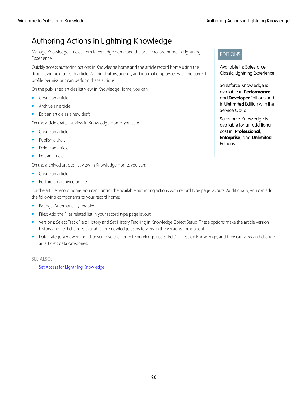# <span id="page-23-0"></span>Authoring Actions in Lightning Knowledge

Manage Knowledge articles from Knowledge home and the article record home in Lightning Experience.

Quickly access authoring actions in Knowledge home and the article record home using the drop-down next to each article. Administrators, agents, and internal employees with the correct profile permissions can perform these actions.

On the published articles list view in Knowledge Home, you can:

- **•** Create an article
- **•** Archive an article
- **•** Edit an article as a new draft

On the article drafts list view in Knowledge Home, you can:

- **•** Create an article
- **•** Publish a draft
- **•** Delete an article
- **•** Edit an article

On the archived articles list view in Knowledge Home, you can:

- **•** Create an article
- **•** Restore an archived article

For the article record home, you can control the available authoring actions with record type page layouts. Additionally, you can add the following components to your record home:

- **•** Ratings: Automatically enabled.
- **•** Files: Add the Files related list in your record type page layout.
- **•** Versions: Select Track Field History and Set History Tracking in Knowledge Object Setup. These options make the article version history and field changes available for Knowledge users to view in the versions component.
- **•** Data Category Viewer and Chooser: Give the correct Knowledge users "Edit" access on Knowledge, and they can view and change an article's data categories.

SEE ALSO:

[Set Access for Lightning Knowledge](#page-16-0)

### EDITIONS

Available in: Salesforce Classic, Lightning Experience

Salesforce Knowledge is available in **Performance** and **Developer** Editions and in **Unlimited** Edition with the Service Cloud.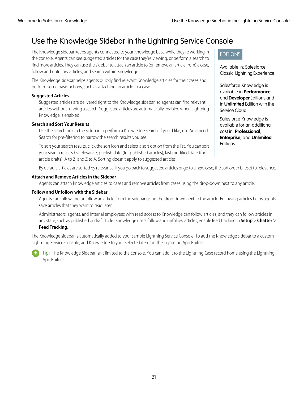# <span id="page-24-0"></span>Use the Knowledge Sidebar in the Lightning Service Console

The Knowledge sidebar keeps agents connected to your Knowledge base while they're working in the console. Agents can see suggested articles for the case they're viewing, or perform a search to find more articles. They can use the sidebar to attach an article to (or remove an article from) a case, follow and unfollow articles, and search within Knowledge.

The Knowledge sidebar helps agents quickly find relevant Knowledge articles for their cases and perform some basic actions, such as attaching an article to a case.

### **Suggested Articles**

Suggested articles are delivered right to the Knowledge sidebar, so agents can find relevant articles without running a search. Suggested articles are automatically enabled when Lightning Knowledge is enabled.

### **Search and Sort Your Results**

Use the search box in the sidebar to perform a Knowledge search. If you'd like, use Advanced Search for pre-filtering to narrow the search results you see.

To sort your search results, click the sort icon and select a sort option from the list. You can sort your search results by relevance, publish date (for published articles), last modified date (for article drafts), A to Z, and Z to A. Sorting doesn't apply to suggested articles.

### EDITIONS

Available in: Salesforce Classic, Lightning Experience

Salesforce Knowledge is available in **Performance** and **Developer** Editions and in **Unlimited** Edition with the Service Cloud.

Salesforce Knowledge is available for an additional cost in: **Professional**, **Enterprise**, and **Unlimited** Editions.

By default, articles are sorted by relevance. If you go back to suggested articles or go to a new case, the sort order is reset to relevance.

### **Attach and Remove Articles in the Sidebar**

Agents can attach Knowledge articles to cases and remove articles from cases using the drop-down next to any article.

### **Follow and Unfollow with the Sidebar**

Agents can follow and unfollow an article from the sidebar using the drop-down next to the article. Following articles helps agents save articles that they want to read later.

Administrators, agents, and internal employees with read access to Knowledge can follow articles, and they can follow articles in any state, such as published or draft. To let Knowledge users follow and unfollow articles, enable feed tracking in **Setup** > **Chatter** >

### **Feed Tracking**.

The Knowledge sidebar is automatically added to your sample Lightning Service Console. To add the Knowledge sidebar to a custom Lightning Service Console, add Knowledge to your selected items in the Lightning App Builder.

Tip: The Knowledge Sidebar isn't limited to the console. You can add it to the Lightning Case record home using the Lightning App Builder.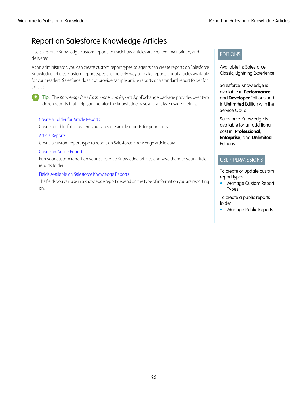# <span id="page-25-0"></span>Report on Salesforce Knowledge Articles

Use Salesforce Knowledge custom reports to track how articles are created, maintained, and delivered.

As an administrator, you can create custom report types so agents can create reports on Salesforce Knowledge articles. Custom report types are the only way to make reports about articles available for your readers. Salesforce does not provide sample article reports or a standard report folder for articles.



Tip: The Knowledge Base Dashboards and Reports AppExchange package provides over two dozen reports that help you monitor the knowledge base and analyze usage metrics.

### [Create a Folder for Article Reports](#page-26-0)

Create a public folder where you can store article reports for your users.

### [Article Reports](#page-27-0)

Create a custom report type to report on Salesforce Knowledge article data.

### [Create an Article Report](#page-29-0)

Run your custom report on your Salesforce Knowledge articles and save them to your article reports folder.

### [Fields Available on Salesforce Knowledge Reports](#page-30-0)

The fields you can use in a knowledge report depend on the type of information you are reporting on.

### EDITIONS

Available in: Salesforce Classic, Lightning Experience

Salesforce Knowledge is available in **Performance** and **Developer** Editions and in **Unlimited** Edition with the Service Cloud.

Salesforce Knowledge is available for an additional cost in: **Professional**, **Enterprise**, and **Unlimited** Editions.

### USER PERMISSIONS

To create or update custom report types:

**•** Manage Custom Report Types

To create a public reports folder: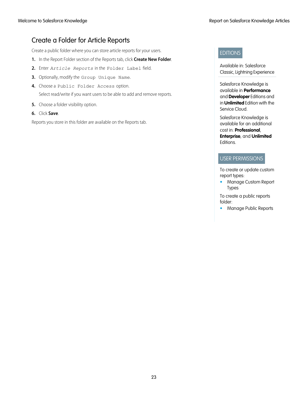# <span id="page-26-0"></span>Create a Folder for Article Reports

Create a public folder where you can store article reports for your users.

- **1.** In the Report Folder section of the Reports tab, click **Create New Folder**.
- **2.** Enter *Article Reports* in the Folder Label field.
- **3.** Optionally, modify the Group Unique Name.
- **4.** Choose a Public Folder Access option. Select read/write if you want users to be able to add and remove reports.
- **5.** Choose a folder visibility option.
- **6.** Click **Save**.

Reports you store in this folder are available on the Reports tab.

### EDITIONS

Available in: Salesforce Classic, Lightning Experience

Salesforce Knowledge is available in **Performance** and **Developer** Editions and in **Unlimited** Edition with the Service Cloud.

Salesforce Knowledge is available for an additional cost in: **Professional**, **Enterprise**, and **Unlimited** Editions.

### USER PERMISSIONS

To create or update custom report types:

**•** Manage Custom Report Types

To create a public reports folder: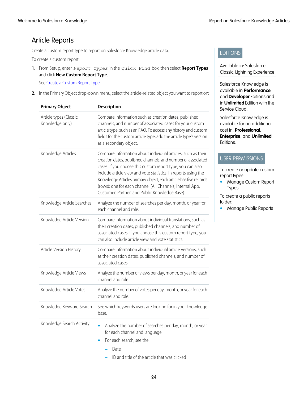# <span id="page-27-0"></span>Article Reports

Create a custom report type to report on Salesforce Knowledge article data.

To create a custom report:

**1.** From Setup, enter *Report Types* in the Quick Find box, then select **Report Types** and click **New Custom Report Type**.

See [Create a Custom Report Type](#reports_defining_report_types)

**2.** In the Primary Object drop-down menu, select the article-related object you want to report on:

| <b>Primary Object</b>                     | <b>Description</b>                                                                                                                                                                                                                                                                                                                                                                                                                              |
|-------------------------------------------|-------------------------------------------------------------------------------------------------------------------------------------------------------------------------------------------------------------------------------------------------------------------------------------------------------------------------------------------------------------------------------------------------------------------------------------------------|
| Article types (Classic<br>Knowledge only) | Compare information such as creation dates, published<br>channels, and number of associated cases for your custom<br>article type, such as an FAQ. To access any history and custom<br>fields for the custom article type, add the article type's version<br>as a secondary object.                                                                                                                                                             |
| Knowledge Articles                        | Compare information about individual articles, such as their<br>creation dates, published channels, and number of associated<br>cases. If you choose this custom report type, you can also<br>include article view and vote statistics. In reports using the<br>Knowledge Articles primary object, each article has five records<br>(rows): one for each channel (All Channels, Internal App,<br>Customer, Partner, and Public Knowledge Base). |
| Knowledge Article Searches                | Analyze the number of searches per day, month, or year for<br>each channel and role.                                                                                                                                                                                                                                                                                                                                                            |
| Knowledge Article Version                 | Compare information about individual translations, such as<br>their creation dates, published channels, and number of<br>associated cases. If you choose this custom report type, you<br>can also include article view and vote statistics.                                                                                                                                                                                                     |
| Article Version History                   | Compare information about individual article versions, such<br>as their creation dates, published channels, and number of<br>associated cases.                                                                                                                                                                                                                                                                                                  |
| Knowledge Article Views                   | Analyze the number of views per day, month, or year for each<br>channel and role.                                                                                                                                                                                                                                                                                                                                                               |
| Knowledge Article Votes                   | Analyze the number of votes per day, month, or year for each<br>channel and role.                                                                                                                                                                                                                                                                                                                                                               |
| Knowledge Keyword Search                  | See which keywords users are looking for in your knowledge<br>base.                                                                                                                                                                                                                                                                                                                                                                             |
| Knowledge Search Activity                 | Analyze the number of searches per day, month, or year<br>for each channel and language.<br>For each search, see the:<br>Date<br>ID and title of the article that was clicked                                                                                                                                                                                                                                                                   |

### EDITIONS

Available in: Salesforce Classic, Lightning Experience

Salesforce Knowledge is available in **Performance** and **Developer** Editions and in **Unlimited** Edition with the Service Cloud.

Salesforce Knowledge is available for an additional cost in: **Professional**, **Enterprise**, and **Unlimited** Editions.

### USER PERMISSIONS

To create or update custom report types:

**•** Manage Custom Report Types

To create a public reports folder: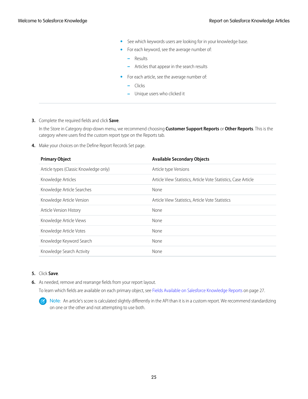- **•** See which keywords users are looking for in your knowledge base.
- **•** For each keyword, see the average number of:
	- **–** Results
	- **–** Articles that appear in the search results
- **•** For each article, see the average number of:
	- **–** Clicks
	- **–** Unique users who clicked it
- **3.** Complete the required fields and click **Save**.

In the Store in Category drop-down menu, we recommend choosing **Customer Support Reports** or **Other Reports**. This is the category where users find the custom report type on the Reports tab.

**4.** Make your choices on the Define Report Records Set page.

| <b>Primary Object</b>                  | <b>Available Secondary Objects</b>                             |
|----------------------------------------|----------------------------------------------------------------|
| Article types (Classic Knowledge only) | Article type Versions                                          |
| Knowledge Articles                     | Article View Statistics, Article Vote Statistics, Case Article |
| Knowledge Article Searches             | None                                                           |
| Knowledge Article Version              | Article View Statistics, Article Vote Statistics               |
| Article Version History                | None                                                           |
| Knowledge Article Views                | None                                                           |
| Knowledge Article Votes                | None                                                           |
| Knowledge Keyword Search               | None                                                           |
| Knowledge Search Activity              | None                                                           |

### **5.** Click **Save**.

**6.** As needed, remove and rearrange fields from your report layout.

To learn which fields are available on each primary object, see [Fields Available on Salesforce Knowledge Reports](#page-30-0) on page 27.

Note: An article's score is calculated slightly differently in the API than it is in a custom report. We recommend standardizing  $\mathbb{Z}$ on one or the other and not attempting to use both.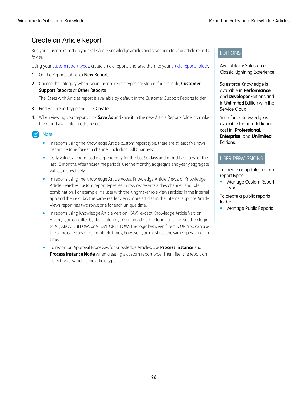# <span id="page-29-0"></span>Create an Article Report

Run your custom report on your Salesforce Knowledge articles and save them to your article reports folder.

Using your [custom report types](#page-27-0), create article reports and save them to your [article reports folder.](#page-26-0)

- **1.** On the Reports tab, click **New Report**.
- **2.** Choose the category where your custom report types are stored; for example, **Customer Support Reports** or **Other Reports**.

The Cases with Articles report is available by default in the Customer Support Reports folder.

- **3.** Find your report type and click **Create**.
- **4.** When viewing your report, click **Save As** and save it in the new Article Reports folder to make the report available to other users.

### Note:

- In reports using the Knowledge Article custom report type, there are at least five rows per article (one for each channel, including "All Channels").
- **•** Daily values are reported independently for the last 90 days and monthly values for the last 18 months. After those time periods, use the monthly aggregate and yearly aggregate values, respectively.
- **•** In reports using the Knowledge Article Votes, Knowledge Article Views, or Knowledge Article Searches custom report types, each row represents a day, channel, and role combination. For example, if a user with the Kingmaker role views articles in the internal app and the next day the same reader views more articles in the internal app, the Article Views report has two rows: one for each unique date.
- **•** In reports using Knowledge Article Version (KAV), except Knowledge Article Version History, you can filter by data category. You can add up to four filters and set their logic to AT, ABOVE, BELOW, or ABOVE OR BELOW. The logic between filters is OR. You can use the same category group multiple times, however, you must use the same operator each time.
- **•** To report on Approval Processes for Knowledge Articles, use **Process Instance** and **Process Instance Node** when creating a custom report type. Then filter the report on object type, which is the article type.

### EDITIONS

### Available in: Salesforce Classic, Lightning Experience

Salesforce Knowledge is available in **Performance** and **Developer** Editions and in **Unlimited** Edition with the Service Cloud.

Salesforce Knowledge is available for an additional cost in: **Professional**, **Enterprise**, and **Unlimited** Editions.

### USER PERMISSIONS

To create or update custom report types:

**•** Manage Custom Report Types

To create a public reports folder: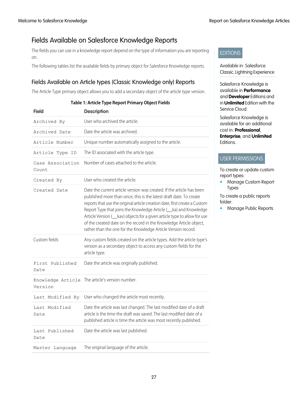# <span id="page-30-0"></span>Fields Available on Salesforce Knowledge Reports

The fields you can use in a knowledge report depend on the type of information you are reporting on.

The following tables list the available fields by primary object for Salesforce Knowledge reports.

### Fields Available on Article types (Classic Knowledge only) Reports

The Article Type primary object allows you to add a secondary object of the article type version.

| <b>Field</b>              | <b>Description</b>                                                                                                                                                                                                                                                                                                                                                                                                                                                                                                       |
|---------------------------|--------------------------------------------------------------------------------------------------------------------------------------------------------------------------------------------------------------------------------------------------------------------------------------------------------------------------------------------------------------------------------------------------------------------------------------------------------------------------------------------------------------------------|
| Archived By               | User who archived the article.                                                                                                                                                                                                                                                                                                                                                                                                                                                                                           |
| Archived Date             | Date the article was archived.                                                                                                                                                                                                                                                                                                                                                                                                                                                                                           |
| Article Number            | Unique number automatically assigned to the article.                                                                                                                                                                                                                                                                                                                                                                                                                                                                     |
| Article Type ID           | The ID associated with the article type.                                                                                                                                                                                                                                                                                                                                                                                                                                                                                 |
| Case Association<br>Count | Number of cases attached to the article.                                                                                                                                                                                                                                                                                                                                                                                                                                                                                 |
| Created By                | User who created the article                                                                                                                                                                                                                                                                                                                                                                                                                                                                                             |
| Created Date              | Date the current article version was created. If the article has been<br>published more than once, this is the latest draft date. To create<br>reports that use the original article creation date, first create a Custom<br>Report Type that joins the Knowledge Article (Lka) and Knowledge<br>Article Version ( <i>kav</i> ) objects for a given article type to allow for use<br>of the created date on the record in the Knowledge Article object,<br>rather than the one for the Knowledge Article Version record. |
| Custom fields             | Any custom fields created on the article types. Add the article type's<br>version as a secondary object to access any custom fields for the<br>article type.                                                                                                                                                                                                                                                                                                                                                             |
| First Published<br>Date   | Date the article was originally published.                                                                                                                                                                                                                                                                                                                                                                                                                                                                               |
| Version                   | Knowledge Article The article's version number.                                                                                                                                                                                                                                                                                                                                                                                                                                                                          |
| Last Modified By          | User who changed the article most recently.                                                                                                                                                                                                                                                                                                                                                                                                                                                                              |
| Last Modified<br>Date     | Date the article was last changed. The last modified date of a draft<br>article is the time the draft was saved. The last modified date of a<br>published article is time the article was most recently published.                                                                                                                                                                                                                                                                                                       |
| Last Published<br>Date    | Date the article was last published.                                                                                                                                                                                                                                                                                                                                                                                                                                                                                     |
| Master Language           | The original language of the article.                                                                                                                                                                                                                                                                                                                                                                                                                                                                                    |

### **Table 1: Article Type Report Primary Object Fields**



Available in: Salesforce Classic, Lightning Experience

Salesforce Knowledge is available in **Performance** and **Developer** Editions and in **Unlimited** Edition with the Service Cloud.

Salesforce Knowledge is available for an additional cost in: **Professional**, **Enterprise**, and **Unlimited** Editions.

### USER PERMISSIONS

To create or update custom report types:

**•** Manage Custom Report Types

To create a public reports folder: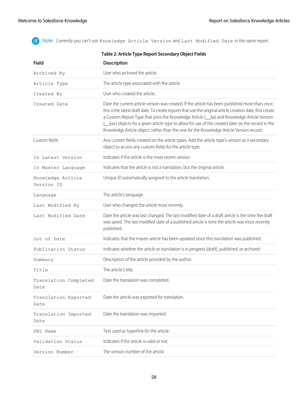Note: Currently you can't use Knowledge Article Version and Last Modified Date in the same report.

| <b>Field</b>                    | Table 2: Article Type Report Secondary Object Fields<br><b>Description</b>                                                                                                                                                                                                                                                                                                                                                                                                                                    |
|---------------------------------|---------------------------------------------------------------------------------------------------------------------------------------------------------------------------------------------------------------------------------------------------------------------------------------------------------------------------------------------------------------------------------------------------------------------------------------------------------------------------------------------------------------|
| Archived By                     | User who archived the article.                                                                                                                                                                                                                                                                                                                                                                                                                                                                                |
| Article Type                    | The article type associated with the article.                                                                                                                                                                                                                                                                                                                                                                                                                                                                 |
| Created By                      | User who created the article.                                                                                                                                                                                                                                                                                                                                                                                                                                                                                 |
| Created Date                    | Date the current article version was created. If the article has been published more than once,<br>this is the latest draft date. To create reports that use the original article creation date, first create<br>a Custom Report Type that joins the Knowledge Article (Lka) and Knowledge Article Version<br>( __ kav) objects for a given article type to allow for use of the created date on the record in the<br>Knowledge Article object, rather than the one for the Knowledge Article Version record. |
| Custom fields                   | Any custom fields created on the article types. Add the article type's version as a secondary<br>object to access any custom fields for the article type.                                                                                                                                                                                                                                                                                                                                                     |
| Is Latest Version               | Indicates if the article is the most recent version.                                                                                                                                                                                                                                                                                                                                                                                                                                                          |
| Is Master Language              | Indicates that the article is not a translation, but the original article.                                                                                                                                                                                                                                                                                                                                                                                                                                    |
| Knowledge Article<br>Version ID | Unique ID automatically assigned to the article translation.                                                                                                                                                                                                                                                                                                                                                                                                                                                  |
| Language                        | The article's language.                                                                                                                                                                                                                                                                                                                                                                                                                                                                                       |
| Last Modified By                | User who changed the article most recently.                                                                                                                                                                                                                                                                                                                                                                                                                                                                   |
| Last Modified Date              | Date the article was last changed. The last modified date of a draft article is the time the draft<br>was saved. The last modified date of a published article is time the article was most recently<br>published.                                                                                                                                                                                                                                                                                            |
| Out of Date                     | Indicates that the master article has been updated since this translation was published.                                                                                                                                                                                                                                                                                                                                                                                                                      |
| Publication Status              | Indicates whether the article or translation is in progress (draft), published, or archived.                                                                                                                                                                                                                                                                                                                                                                                                                  |
| Summary                         | Description of the article provided by the author.                                                                                                                                                                                                                                                                                                                                                                                                                                                            |
| Title                           | The article's title.                                                                                                                                                                                                                                                                                                                                                                                                                                                                                          |
| Translation Completed<br>Date   | Date the translation was completed.                                                                                                                                                                                                                                                                                                                                                                                                                                                                           |
| Translation Exported<br>Date    | Date the article was exported for translation.                                                                                                                                                                                                                                                                                                                                                                                                                                                                |
| Translation Imported<br>Date    | Date the translation was imported.                                                                                                                                                                                                                                                                                                                                                                                                                                                                            |
| URL Name                        | Text used as hyperlink for the article.                                                                                                                                                                                                                                                                                                                                                                                                                                                                       |
| Validation Status               | Indicates if the article is valid or not.                                                                                                                                                                                                                                                                                                                                                                                                                                                                     |
| Version Number                  | The version number of the article.                                                                                                                                                                                                                                                                                                                                                                                                                                                                            |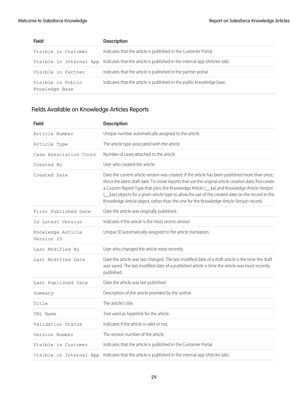| <b>Field</b>                        | <b>Description</b>                                                                                  |
|-------------------------------------|-----------------------------------------------------------------------------------------------------|
| Visible in Customer                 | Indicates that the article is published in the Customer Portal.                                     |
|                                     | Visible in Internal App Indicates that the article is published in the internal app (Articles tab). |
| Visible in Partner                  | Indicates that the article is published in the partner portal.                                      |
| Visible in Public<br>Knowledge Base | Indicates that the article is published in the public knowledge base.                               |

# Fields Available on Knowledge Articles Reports

| <b>Field</b>                    | <b>Description</b>                                                                                                                                                                                                                                                                                                                                                                                                                                                                                            |
|---------------------------------|---------------------------------------------------------------------------------------------------------------------------------------------------------------------------------------------------------------------------------------------------------------------------------------------------------------------------------------------------------------------------------------------------------------------------------------------------------------------------------------------------------------|
| Article Number                  | Unique number automatically assigned to the article.                                                                                                                                                                                                                                                                                                                                                                                                                                                          |
| Article Type                    | The article type associated with the article.                                                                                                                                                                                                                                                                                                                                                                                                                                                                 |
| Case Association Count          | Number of cases attached to the article.                                                                                                                                                                                                                                                                                                                                                                                                                                                                      |
| Created By                      | User who created the article.                                                                                                                                                                                                                                                                                                                                                                                                                                                                                 |
| Created Date                    | Date the current article version was created. If the article has been published more than once,<br>this is the latest draft date. To create reports that use the original article creation date, first create<br>a Custom Report Type that joins the Knowledge Article (Lka) and Knowledge Article Version<br>( __ kav) objects for a given article type to allow for use of the created date on the record in the<br>Knowledge Article object, rather than the one for the Knowledge Article Version record. |
| First Published Date            | Date the article was originally published.                                                                                                                                                                                                                                                                                                                                                                                                                                                                    |
| Is Latest Version               | Indicates if the article is the most recent version.                                                                                                                                                                                                                                                                                                                                                                                                                                                          |
| Knowledge Article<br>Version ID | Unique ID automatically assigned to the article translation.                                                                                                                                                                                                                                                                                                                                                                                                                                                  |
| Last Modified By                | User who changed the article most recently.                                                                                                                                                                                                                                                                                                                                                                                                                                                                   |
| Last Modified Date              | Date the article was last changed. The last modified date of a draft article is the time the draft<br>was saved. The last modified date of a published article is time the article was most recently<br>published.                                                                                                                                                                                                                                                                                            |
| Last Published Date             | Date the article was last published.                                                                                                                                                                                                                                                                                                                                                                                                                                                                          |
| Summary                         | Description of the article provided by the author.                                                                                                                                                                                                                                                                                                                                                                                                                                                            |
| Title                           | The article's title.                                                                                                                                                                                                                                                                                                                                                                                                                                                                                          |
| URL Name                        | Text used as hyperlink for the article.                                                                                                                                                                                                                                                                                                                                                                                                                                                                       |
| Validation Status               | Indicates if the article is valid or not.                                                                                                                                                                                                                                                                                                                                                                                                                                                                     |
| Version Number                  | The version number of the article.                                                                                                                                                                                                                                                                                                                                                                                                                                                                            |
| Visible in Customer             | Indicates that the article is published in the Customer Portal.                                                                                                                                                                                                                                                                                                                                                                                                                                               |
| Visible in Internal App         | Indicates that the article is published in the internal app (Articles tab).                                                                                                                                                                                                                                                                                                                                                                                                                                   |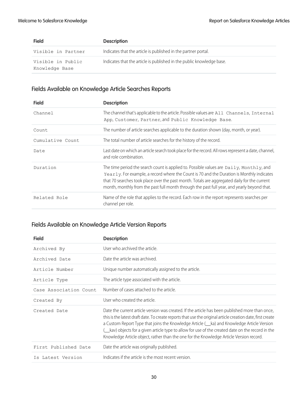| <b>Field</b>                        | <b>Description</b>                                                    |
|-------------------------------------|-----------------------------------------------------------------------|
| Visible in Partner                  | Indicates that the article is published in the partner portal.        |
| Visible in Public<br>Knowledge Base | Indicates that the article is published in the public knowledge base. |

# Fields Available on Knowledge Article Searches Reports

| <b>Field</b>     | <b>Description</b>                                                                                                                                                                                                                                                                                                                                                                  |
|------------------|-------------------------------------------------------------------------------------------------------------------------------------------------------------------------------------------------------------------------------------------------------------------------------------------------------------------------------------------------------------------------------------|
| Channel          | The channel that's applicable to the article. Possible values are All Channels, Internal<br>App, Customer, Partner, and Public Knowledge Base.                                                                                                                                                                                                                                      |
| Count            | The number of article searches applicable to the duration shown (day, month, or year).                                                                                                                                                                                                                                                                                              |
| Cumulative Count | The total number of article searches for the history of the record.                                                                                                                                                                                                                                                                                                                 |
| Date             | Last date on which an article search took place for the record. All rows represent a date, channel,<br>and role combination.                                                                                                                                                                                                                                                        |
| Duration         | The time period the search count is applied to. Possible values are Daily, Monthly, and<br>Yearly. For example, a record where the Count is 70 and the Duration is Monthly indicates<br>that 70 searches took place over the past month. Totals are aggregated daily for the current<br>month, monthly from the past full month through the past full year, and yearly beyond that. |
| Related Role     | Name of the role that applies to the record. Each row in the report represents searches per<br>channel per role.                                                                                                                                                                                                                                                                    |

# Fields Available on Knowledge Article Version Reports

| <b>Field</b>           | <b>Description</b>                                                                                                                                                                                                                                                                                                                                                                                                                                                                                       |
|------------------------|----------------------------------------------------------------------------------------------------------------------------------------------------------------------------------------------------------------------------------------------------------------------------------------------------------------------------------------------------------------------------------------------------------------------------------------------------------------------------------------------------------|
| Archived By            | User who archived the article.                                                                                                                                                                                                                                                                                                                                                                                                                                                                           |
| Archived Date          | Date the article was archived                                                                                                                                                                                                                                                                                                                                                                                                                                                                            |
| Article Number         | Unique number automatically assigned to the article.                                                                                                                                                                                                                                                                                                                                                                                                                                                     |
| Article Type           | The article type associated with the article.                                                                                                                                                                                                                                                                                                                                                                                                                                                            |
| Case Association Count | Number of cases attached to the article.                                                                                                                                                                                                                                                                                                                                                                                                                                                                 |
| Created By             | User who created the article.                                                                                                                                                                                                                                                                                                                                                                                                                                                                            |
| Created Date           | Date the current article version was created. If the article has been published more than once,<br>this is the latest draft date. To create reports that use the original article creation date, first create<br>a Custom Report Type that joins the Knowledge Article (Lka) and Knowledge Article Version<br>kav) objects for a given article type to allow for use of the created date on the record in the<br>Knowledge Article object, rather than the one for the Knowledge Article Version record. |
| First Published Date   | Date the article was originally published.                                                                                                                                                                                                                                                                                                                                                                                                                                                               |
| Is Latest Version      | Indicates if the article is the most recent version.                                                                                                                                                                                                                                                                                                                                                                                                                                                     |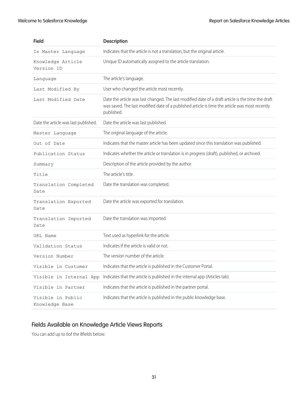| <b>Field</b>                         | <b>Description</b>                                                                                                                                                                                                 |
|--------------------------------------|--------------------------------------------------------------------------------------------------------------------------------------------------------------------------------------------------------------------|
| Is Master Language                   | Indicates that the article is not a translation, but the original article.                                                                                                                                         |
| Knowledge Article<br>Version ID      | Unique ID automatically assigned to the article translation.                                                                                                                                                       |
| Language                             | The article's language.                                                                                                                                                                                            |
| Last Modified By                     | User who changed the article most recently.                                                                                                                                                                        |
| Last Modified Date                   | Date the article was last changed. The last modified date of a draft article is the time the draft<br>was saved. The last modified date of a published article is time the article was most recently<br>published. |
| Date the article was last published. | Date the article was last published.                                                                                                                                                                               |
| Master Language                      | The original language of the article.                                                                                                                                                                              |
| Out of Date                          | Indicates that the master article has been updated since this translation was published.                                                                                                                           |
| Publication Status                   | Indicates whether the article or translation is in progress (draft), published, or archived.                                                                                                                       |
| Summary                              | Description of the article provided by the author.                                                                                                                                                                 |
| Title                                | The article's title.                                                                                                                                                                                               |
| Translation Completed<br>Date        | Date the translation was completed.                                                                                                                                                                                |
| Translation Exported<br>Date         | Date the article was exported for translation.                                                                                                                                                                     |
| Translation Imported<br>Date         | Date the translation was imported.                                                                                                                                                                                 |
| URL Name                             | Text used as hyperlink for the article.                                                                                                                                                                            |
| Validation Status                    | Indicates if the article is valid or not.                                                                                                                                                                          |
| Version Number                       | The version number of the article.                                                                                                                                                                                 |
| Visible in Customer                  | Indicates that the article is published in the Customer Portal.                                                                                                                                                    |
| Visible in Internal App              | Indicates that the article is published in the internal app (Articles tab).                                                                                                                                        |
| Visible in Partner                   | Indicates that the article is published in the partner portal.                                                                                                                                                     |
| Visible in Public<br>Knowledge Base  | Indicates that the article is published in the public knowledge base.                                                                                                                                              |

# Fields Available on Knowledge Article Views Reports

You can add up to 6of the 8fields below.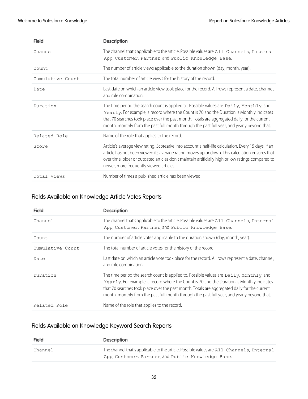| <b>Field</b>     | <b>Description</b>                                                                                                                                                                                                                                                                                                                                                                    |
|------------------|---------------------------------------------------------------------------------------------------------------------------------------------------------------------------------------------------------------------------------------------------------------------------------------------------------------------------------------------------------------------------------------|
| Channel          | The channel that's applicable to the article. Possible values are All Channels, Internal<br>App, Customer, Partner, and Public Knowledge Base.                                                                                                                                                                                                                                        |
| Count            | The number of article views applicable to the duration shown (day, month, year).                                                                                                                                                                                                                                                                                                      |
| Cumulative Count | The total number of article views for the history of the record.                                                                                                                                                                                                                                                                                                                      |
| Date             | Last date on which an article view took place for the record. All rows represent a date, channel,<br>and role combination.                                                                                                                                                                                                                                                            |
| Duration         | The time period the search count is applied to. Possible values are $Daily, Monthly,$ and<br>Yearly. For example, a record where the Count is 70 and the Duration is Monthly indicates<br>that 70 searches took place over the past month. Totals are aggregated daily for the current<br>month, monthly from the past full month through the past full year, and yearly beyond that. |
| Related Role     | Name of the role that applies to the record.                                                                                                                                                                                                                                                                                                                                          |
| Score            | Article's average view rating. Scoresake into account a half-life calculation. Every 15 days, if an<br>article has not been viewed its average rating moves up or down. This calculation ensures that<br>over time, older or outdated articles don't maintain artificially high or low ratings compared to<br>newer, more frequently viewed articles.                                 |
| Total Views      | Number of times a published article has been viewed.                                                                                                                                                                                                                                                                                                                                  |

### Fields Available on Knowledge Article Votes Reports

| <b>Field</b>     | <b>Description</b>                                                                                                                                                                                                                                                                                                                                                                  |
|------------------|-------------------------------------------------------------------------------------------------------------------------------------------------------------------------------------------------------------------------------------------------------------------------------------------------------------------------------------------------------------------------------------|
| Channel          | The channel that's applicable to the article. Possible values are All Channels, Internal<br>App, Customer, Partner, and Public Knowledge Base.                                                                                                                                                                                                                                      |
| Count            | The number of article votes applicable to the duration shown (day, month, year).                                                                                                                                                                                                                                                                                                    |
| Cumulative Count | The total number of article votes for the history of the record.                                                                                                                                                                                                                                                                                                                    |
| Date             | Last date on which an article vote took place for the record. All rows represent a date, channel,<br>and role combination.                                                                                                                                                                                                                                                          |
| Duration         | The time period the search count is applied to. Possible values are Daily, Monthly, and<br>Yearly. For example, a record where the Count is 70 and the Duration is Monthly indicates<br>that 70 searches took place over the past month. Totals are aggregated daily for the current<br>month, monthly from the past full month through the past full year, and yearly beyond that. |
| Related Role     | Name of the role that applies to the record.                                                                                                                                                                                                                                                                                                                                        |

# Fields Available on Knowledge Keyword Search Reports

| <b>Field</b> | <b>Description</b>                                                                                                                             |
|--------------|------------------------------------------------------------------------------------------------------------------------------------------------|
| Channel      | The channel that's applicable to the article. Possible values are All Channels, Internal<br>App, Customer, Partner, and Public Knowledge Base. |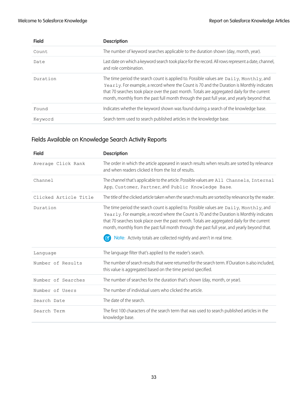| <b>Field</b> | <b>Description</b>                                                                                                                                                                                                                                                                                                                                                                  |
|--------------|-------------------------------------------------------------------------------------------------------------------------------------------------------------------------------------------------------------------------------------------------------------------------------------------------------------------------------------------------------------------------------------|
| Count        | The number of keyword searches applicable to the duration shown (day, month, year).                                                                                                                                                                                                                                                                                                 |
| Date         | Last date on which a keyword search took place for the record. All rows represent a date, channel,<br>and role combination.                                                                                                                                                                                                                                                         |
| Duration     | The time period the search count is applied to. Possible values are Daily, Monthly, and<br>Yearly. For example, a record where the Count is 70 and the Duration is Monthly indicates<br>that 70 searches took place over the past month. Totals are aggregated daily for the current<br>month, monthly from the past full month through the past full year, and yearly beyond that. |
| Found        | Indicates whether the keyword shown was found during a search of the knowledge base.                                                                                                                                                                                                                                                                                                |
| Keyword      | Search term used to search published articles in the knowledge base.                                                                                                                                                                                                                                                                                                                |

# Fields Available on Knowledge Search Activity Reports

| <b>Field</b>          | <b>Description</b>                                                                                                                                                                                                                                                                                                                                                                                                                                          |
|-----------------------|-------------------------------------------------------------------------------------------------------------------------------------------------------------------------------------------------------------------------------------------------------------------------------------------------------------------------------------------------------------------------------------------------------------------------------------------------------------|
| Average Click Rank    | The order in which the article appeared in search results when results are sorted by relevance<br>and when readers clicked it from the list of results.                                                                                                                                                                                                                                                                                                     |
| Channel               | The channel that's applicable to the article. Possible values are All Channels, Internal<br>App, Customer, Partner, and Public Knowledge Base.                                                                                                                                                                                                                                                                                                              |
| Clicked Article Title | The title of the clicked article taken when the search results are sorted by relevance by the reader.                                                                                                                                                                                                                                                                                                                                                       |
| Duration              | The time period the search count is applied to. Possible values are Daily, Monthly, and<br>Yearly. For example, a record where the Count is 70 and the Duration is Monthly indicates<br>that 70 searches took place over the past month. Totals are aggregated daily for the current<br>month, monthly from the past full month through the past full year, and yearly beyond that.<br>Note: Activity totals are collected nightly and aren't in real time. |
| Language              | The language filter that's applied to the reader's search.                                                                                                                                                                                                                                                                                                                                                                                                  |
| Number of Results     | The number of search results that were returned for the search term. If Duration is also included,<br>this value is aggregated based on the time period specified.                                                                                                                                                                                                                                                                                          |
| Number of Searches    | The number of searches for the duration that's shown (day, month, or year).                                                                                                                                                                                                                                                                                                                                                                                 |
| Number of Users       | The number of individual users who clicked the article.                                                                                                                                                                                                                                                                                                                                                                                                     |
| Search Date           | The date of the search.                                                                                                                                                                                                                                                                                                                                                                                                                                     |
| Search Term           | The first 100 characters of the search term that was used to search published articles in the<br>knowledge base.                                                                                                                                                                                                                                                                                                                                            |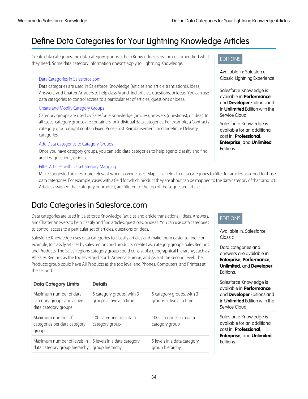# <span id="page-37-0"></span>Define Data Categories for Your Lightning Knowledge Articles

Create data categories and data category groups to help Knowledge users and customers find what they need. Some data category information doesn't apply to Lightning Knowledge.

### [Data Categories in Salesforce.com](#page-37-1)

Data categories are used in Salesforce Knowledge (articles and article translations), Ideas, Answers, and Chatter Answers to help classify and find articles, questions, or ideas. You can use data categories to control access to a particular set of articles, questions or ideas.

### [Create and Modify Category Groups](#page-42-0)

Category groups are used by Salesforce Knowledge (articles), answers (questions), or ideas. In all cases, category groups are containers for individual data categories. For example, a Contracts category group might contain Fixed Price, Cost Reimbursement, and Indefinite Delivery categories.

### [Add Data Categories to Category Groups](#page-43-0)

Once you have category groups, you can add data categories to help agents classify and find articles, questions, or ideas.

### [Filter Articles with Data Category Mapping](#page-44-0)

<span id="page-37-1"></span>Make suggested articles more relevant when solving cases. Map case fields to data categories to filter for articles assigned to those data categories. For example, cases with a field for which product they are about can be mapped to the data category of that product. Articles assigned that category or product, are filtered to the top of the suggested article list.

# Data Categories in Salesforce.com

Data categories are used in Salesforce Knowledge (articles and article translations), Ideas, Answers, and Chatter Answers to help classify and find articles, questions, or ideas. You can use data categories to control access to a particular set of articles, questions or ideas.

Salesforce Knowledge uses data categories to classify articles and make them easier to find. For example, to classify articles by sales regions and products, create two category groups: Sales Regions and Products. The Sales Regions category group could consist of a geographical hierarchy, such as All Sales Regions as the top level and North America, Europe, and Asia at the second level. The Products group could have All Products as the top level and Phones, Computers, and Printers at the second.

| <b>Data Category Limits</b>                                                  | <b>Details</b>                                       |                                                      |
|------------------------------------------------------------------------------|------------------------------------------------------|------------------------------------------------------|
| Maximum number of data<br>category groups and active<br>data category groups | 5 category groups, with 3<br>groups active at a time | 5 category groups, with 3<br>groups active at a time |
| Maximum number of<br>categories per data category<br>group                   | 100 categories in a data<br>category group           | 100 categories in a data<br>category group           |
| Maximum number of levels in<br>data category group hierarchy                 | 5 levels in a data category<br>group hierarchy       | 5 levels in a data category<br>group hierarchy       |

### EDITIONS

Available in: Salesforce Classic, Lightning Experience

Salesforce Knowledge is available in **Performance** and **Developer** Editions and in **Unlimited** Edition with the Service Cloud.

Salesforce Knowledge is available for an additional cost in: **Professional**, **Enterprise**, and **Unlimited** Editions.

### EDITIONS

Available in: Salesforce Classic

Data categories and answers are available in **Enterprise**, **Performance**, **Unlimited**, and **Developer** Editions.

Salesforce Knowledge is available in **Performance** and **Developer** Editions and in **Unlimited** Edition with the Service Cloud.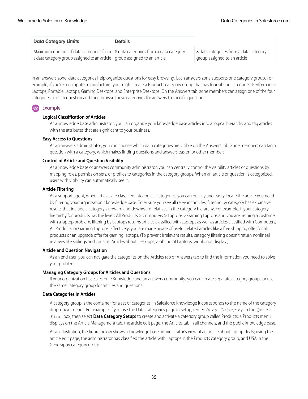| <b>Data Category Limits</b>                                                                                                                                | <b>Details</b> |                                                                        |
|------------------------------------------------------------------------------------------------------------------------------------------------------------|----------------|------------------------------------------------------------------------|
| Maximum number of data categories from 8 data categories from a data category<br>a data category group assigned to an article group assigned to an article |                | 8 data categories from a data category<br>group assigned to an article |

In an answers zone, data categories help organize questions for easy browsing. Each answers zone supports one category group. For example, if you're a computer manufacturer you might create a Products category group that has four sibling categories: Performance Laptops, Portable Laptops, Gaming Desktops, and Enterprise Desktops. On the Answers tab, zone members can assign one of the four categories to each question and then browse these categories for answers to specific questions.

### Example:

### **Logical Classification of Articles**

As a knowledge base administrator, you can organize your knowledge base articles into a logical hierarchy and tag articles with the attributes that are significant to your business.

### **Easy Access to Questions**

As an answers administrator, you can choose which data categories are visible on the Answers tab. Zone members can tag a question with a category, which makes finding questions and answers easier for other members.

### **Control of Article and Question Visibility**

As a knowledge base or answers community administrator, you can centrally control the visibility articles or questions by mapping roles, permission sets, or profiles to categories in the category groups. When an article or question is categorized, users with visibility can automatically see it.

### **Article Filtering**

As a support agent, when articles are classified into logical categories, you can quickly and easily locate the article you need by filtering your organization's knowledge base. To ensure you see all relevant articles, filtering by category has expansive results that include a category's upward and downward relatives in the category hierarchy. For example, if your category hierarchy for products has the levels All Products > Computers > Laptops > Gaming Laptops and you are helping a customer with a laptop problem, filtering by Laptops returns articles classified with Laptops as well as articles classified with Computers, All Products, or Gaming Laptops. Effectively, you are made aware of useful related articles like a free shipping offer for all products or an upgrade offer for gaming laptops. (To prevent irrelevant results, category filtering doesn't return nonlineal relatives like siblings and cousins. Articles about Desktops, a sibling of Laptops, would not display.)

### **Article and Question Navigation**

As an end user, you can navigate the categories on the Articles tab or Answers tab to find the information you need to solve your problem.

### **Managing Category Groups for Articles and Questions**

If your organization has Salesforce Knowledge and an answers community, you can create separate category groups or use the same category group for articles and questions.

### **Data Categories in Articles**

A category group is the container for a set of categories. In Salesforce Knowledge it corresponds to the name of the category drop-down menus. For example, if you use the Data Categories page in Setup, (enter *Data Category* in the Quick Find box, then select **Data Category Setup**) to create and activate a category group called Products, a Products menu displays on the Article Management tab, the article edit page, the Articles tab in all channels, and the public knowledge base.

As an illustration, the figure below shows a knowledge base administrator's view of an article about laptop deals; using the article edit page, the administrator has classified the article with Laptops in the Products category group, and USA in the Geography category group.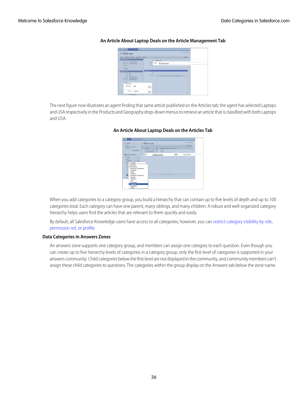| Home Articles Article Harogenesse<br>٠                                                                                   |                                                                                  |
|--------------------------------------------------------------------------------------------------------------------------|----------------------------------------------------------------------------------|
| Article Edit<br>Laptop Deals                                                                                             | Highly the Face 10                                                               |
| Save Guick Save Cancel Publish Analys.                                                                                   | Preview                                                                          |
| <b>Artist Assembly</b><br>Assigned To Knowledge Publisher<br>Assigned By Knowledge Publisher<br><b>September 1</b>       | Title<br>Laptop Deals<br><b>BRL Har</b><br>Laptop Deals<br>Title<br><b>Saven</b> |
| Assignment -<br>Article Properties                                                                                       | information                                                                      |
| <b>Sidos</b> Dolf<br>Toron Office<br>Overer Nooviedge Publisher<br>Last Modified Knowledge Publisher<br>Iv 1010010-0309M | Text<br><b>Text rich</b><br>2 2 3 4 日本 2 日本 3 日本 3 日本 3 日                        |
| Categories<br>Categories<br>Geography USA                                                                                | Edit                                                                             |
| Product<br>Laptops                                                                                                       | Edit                                                                             |
| <b>ITT Darker Darks</b>                                                                                                  |                                                                                  |

### **An Article About Laptop Deals on the Article Management Tab**

The next figure now illustrates an agent finding that same article published on the Articles tab; the agent has selected Laptops and USA respectively in the Products and Geography drop-down menus to retrieve an article that is classified with both Laptops and USA.

# aptop Deals

### **An Article About Laptop Deals on the Articles Tab**

When you add categories to a category group, you build a hierarchy that can contain up to five levels of depth and up to 100 categories total. Each category can have one parent, many siblings, and many children. A robust and well-organized category hierarchy helps users find the articles that are relevant to them quickly and easily.

By default, all Salesforce Knowledge users have access to all categories; however, you can [restrict category visibility by role,](#category_visibility_whatis) [permission set, or profile.](#category_visibility_whatis)

### **Data Categories in Answers Zones**

An answers zone supports one category group, and members can assign one category to each question. Even though you can create up to five hierarchy levels of categories in a category group, only the first level of categories is supported in your answers community. Child categories below the first level are not displayed in the community, and community members can't assign these child categories to questions. The categories within the group display on the Answers tab below the zone name.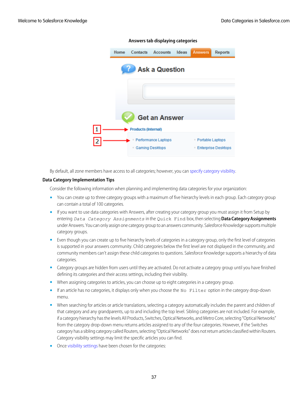

**Answers tab displaying categories**

By default, all zone members have access to all categories; however, you can [specify category visibility.](#category_visibility_whatis)

### **Data Category Implementation Tips**

Consider the following information when planning and implementing data categories for your organization:

- You can create up to three category groups with a maximum of five hierarchy levels in each group. Each category group can contain a total of 100 categories.
- **•** If you want to use data categories with Answers, after creating your category group you must assign it from Setup by entering *Data Category Assignments* in the Quick Find box, then selecting **Data Category Assignments** under Answers. You can only assign one category group to an answers community. Salesforce Knowledge supports multiple category groups.
- **•** Even though you can create up to five hierarchy levels of categories in a category group, only the first level of categories is supported in your answers community. Child categories below the first level are not displayed in the community, and community members can't assign these child categories to questions. Salesforce Knowledge supports a hierarchy of data categories.
- **•** Category groups are hidden from users until they are activated. Do not activate a category group until you have finished defining its categories and their access settings, including their visibility.
- When assigning categories to articles, you can choose up to eight categories in a category group.
- If an article has no categories, it displays only when you choose the No Filter option in the category drop-down menu.
- **•** When searching for articles or article translations, selecting a category automatically includes the parent and children of that category and any grandparents, up to and including the top level. Sibling categories are not included. For example, if a category hierarchy has the levels All Products, Switches, Optical Networks, and Metro Core, selecting "Optical Networks" from the category drop-down menu returns articles assigned to any of the four categories. However, if the Switches category has a sibling category called Routers, selecting "Optical Networks" does not return articles classified within Routers. Category visibility settings may limit the specific articles you can find.
- **•** Once [visibility settings](#category_visibility_whatis) have been chosen for the categories: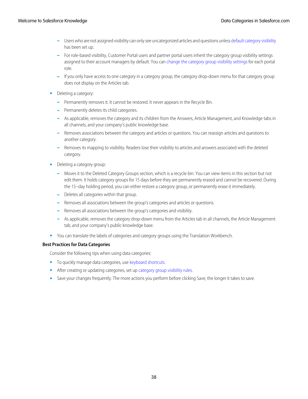- Users who are not assigned visibility can only see uncategorized articles and questions unless [default category visibility](#category_visibility_default) **–** has been set up.
- **–** For role-based visibility, Customer Portal users and partner portal users inherit the category group visibility settings assigned to their account managers by default. You can [change the category group visibility settings](#category_visibility_modify) for each portal role.
- **–** If you only have access to one category in a category group, the category drop-down menu for that category group does not display on the Articles tab.
- **•** Deleting a category:
	- **–** Permanently removes it. It cannot be restored. It never appears in the Recycle Bin.
	- **–** Permanently deletes its child categories.
	- **–** As applicable, removes the category and its children from the Answers, Article Management, and Knowledge tabs in all channels, and your company's public knowledge base.
	- **–** Removes associations between the category and articles or questions. You can reassign articles and questions to another category.
	- **–** Removes its mapping to visibility. Readers lose their visibility to articles and answers associated with the deleted category.
- Deleting a category group:
	- **–** Moves it to the Deleted Category Groups section, which is a recycle bin. You can view items in this section but not edit them. It holds category groups for 15 days before they are permanently erased and cannot be recovered. During the 15–day holding period, you can either restore a category group, or permanently erase it immediately.
	- **–** Deletes all categories within that group.
	- **–** Removes all associations between the group's categories and articles or questions.
	- **–** Removes all associations between the group's categories and visibility.
	- **–** As applicable, removes the category drop-down menu from the Articles tab in all channels, the Article Management tab, and your company's public knowledge base.
- You can translate the labels of categories and category groups using the Translation Workbench.

### **Best Practices for Data Categories**

Consider the following tips when using data categories:

- **•** To quickly manage data categories, use [keyboard shortcuts](#category_shortcut).
- After creating or updating categories, set up [category group visibility rules.](#category_visibility_whatis)
- Save your changes frequently. The more actions you perform before clicking Save, the longer it takes to save.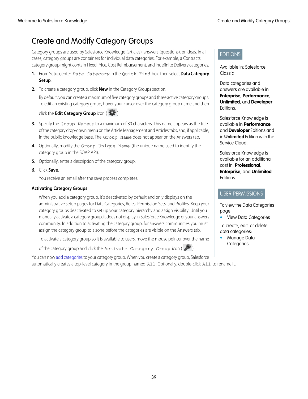# <span id="page-42-0"></span>Create and Modify Category Groups

Category groups are used by Salesforce Knowledge (articles), answers (questions), or ideas. In all cases, category groups are containers for individual data categories. For example, a Contracts category group might contain Fixed Price, Cost Reimbursement, and Indefinite Delivery categories.

- **1.** From Setup, enter *Data Category* in the Quick Find box, then select **Data Category Setup**.
- **2.** To create a category group, click **New** in the Category Groups section.

By default, you can create a maximum of five category groups and three active category groups. To edit an existing category group, hover your cursor over the category group name and then

click the **Edit Category Group** icon (  $\left( \frac{1}{2} \right)$ .

- **3.** Specify the Group Nameup to a maximum of 80 characters. This name appears as the title of the category drop-down menu on the Article Management and Articles tabs, and, if applicable, in the public knowledge base. The Group Name does not appear on the Answers tab.
- **4.** Optionally, modify the Group Unique Name (the unique name used to identify the category group in the SOAP API).
- **5.** Optionally, enter a description of the category group.
- **6.** Click **Save**.

You receive an email after the save process completes.

### **Activating Category Groups**

When you add a category group, it's deactivated by default and only displays on the administrative setup pages for Data Categories, Roles, Permission Sets, and Profiles. Keep your category groups deactivated to set up your category hierarchy and assign visibility. Until you manually activate a category group, it does not display in Salesforce Knowledge or your answers community. In addition to activating the category group, for answers communities you must assign the category group to a zone before the categories are visible on the Answers tab.

To activate a category group so it is available to users, move the mouse pointer over the name

of the category group and click the Activate Category Group icon  $(\bullet)$ .

You can now [add categories](#page-43-0) to your category group. When you create a category group, Salesforce automatically creates a top-level category in the group named All. Optionally, double-click All to rename it.

### EDITIONS

Available in: Salesforce **Classic** 

Data categories and answers are available in **Enterprise**, **Performance**, **Unlimited**, and **Developer** Editions.

Salesforce Knowledge is available in **Performance** and **Developer** Editions and in **Unlimited** Edition with the Service Cloud.

Salesforce Knowledge is available for an additional cost in: **Professional**, **Enterprise**, and **Unlimited** Editions.

### USER PERMISSIONS

To view the Data Categories page:

**•** View Data Categories

To create, edit, or delete data categories:

**•** Manage Data **Categories**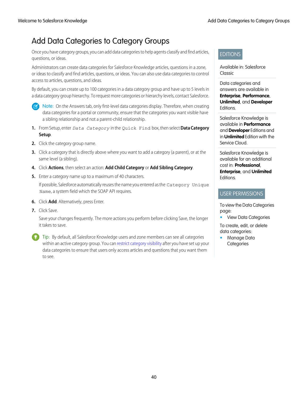# <span id="page-43-0"></span>Add Data Categories to Category Groups

Once you have category groups, you can add data categories to help agents classify and find articles, questions, or ideas.

Administrators can create data categories for Salesforce Knowledge articles, questions in a zone, or ideas to classify and find articles, questions, or ideas. You can also use data categories to control access to articles, questions, and ideas.

By default, you can create up to 100 categories in a data category group and have up to 5 levels in a data category group hierarchy. To request more categories or hierarchy levels, contact Salesforce.



Note: On the Answers tab, only first-level data categories display. Therefore, when creating data categories for a portal or community, ensure that the categories you want visible have a sibling relationship and not a parent-child relationship.

- **1.** From Setup, enter *Data Category* in the Quick Find box, then select **Data Category Setup**.
- **2.** Click the category group name.
- **3.** Click a category that is directly above where you want to add a category (a parent), or at the same level (a sibling).
- **4.** Click **Actions**, then select an action: **Add Child Category** or **Add Sibling Category**.
- **5.** Enter a category name up to a maximum of 40 characters.

If possible, Salesforce automatically reuses the name you entered as the Category Unique Name, a system field which the SOAP API requires.

- **6.** Click **Add**. Alternatively, press Enter.
- **7.** Click Save.

Save your changes frequently. The more actions you perform before clicking Save, the longer it takes to save.

Tip: By default, all Salesforce Knowledge users and zone members can see all categories within an active category group. You can [restrict category visibility](#category_visibility_modify) after you have set up your data categories to ensure that users only access articles and questions that you want them to see.

### EDITIONS

Available in: Salesforce **Classic** 

Data categories and answers are available in **Enterprise**, **Performance**, **Unlimited**, and **Developer** Editions.

Salesforce Knowledge is available in **Performance** and **Developer** Editions and in **Unlimited** Edition with the Service Cloud.

Salesforce Knowledge is available for an additional cost in: **Professional**, **Enterprise**, and **Unlimited** Editions.

### USER PERMISSIONS

To view the Data Categories page:

**•** View Data Categories

To create, edit, or delete data categories:

**•** Manage Data **Categories**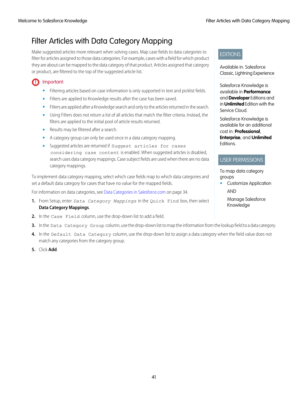# <span id="page-44-0"></span>Filter Articles with Data Category Mapping

Make suggested articles more relevant when solving cases. Map case fields to data categories to filter for articles assigned to those data categories. For example, cases with a field for which product they are about can be mapped to the data category of that product. Articles assigned that category or product, are filtered to the top of the suggested article list.

### Important:  $\bigcap$

- **•** Filtering articles based on case information is only supported in text and picklist fields.
- **•** Filters are applied to Knowledge results after the case has been saved.
- **•** Filters are applied after a Knowledge search and only to the articles returned in the search.
- **•** Using Filters does not return a list of all articles that match the filter criteria. Instead, the filters are applied to the initial pool of article results returned.
- **•** Results may be filtered after a search.
- **•** A category group can only be used once in a data category mapping.
- **•** Suggested articles are returned if Suggest articles for cases considering case content is enabled. When suggested articles is disabled, search uses data category mappings. Case subject fields are used when there are no data category mappings.

To implement data category mapping, select which case fields map to which data categories and set a default data category for cases that have no value for the mapped fields.

For information on data categories, see [Data Categories in Salesforce.com](#page-37-1) on page 34.

- **1.** From Setup, enter *Data Category Mappings* in the Quick Find box, then select **Data Category Mappings**.
- **2.** In the Case Field column, use the drop-down list to add a field.
- **3.** In the Data Category Group column, use the drop-down list to map the information from the lookup field to a data category.
- **4.** In the Default Data Category column, use the drop-down list to assign a data category when the field value does not match any categories from the category group.
- **5.** Click **Add**.

### EDITIONS

Available in: Salesforce Classic, Lightning Experience

Salesforce Knowledge is available in **Performance** and **Developer** Editions and in **Unlimited** Edition with the Service Cloud.

Salesforce Knowledge is available for an additional cost in: **Professional**, **Enterprise**, and **Unlimited** Editions.

### USER PERMISSIONS

To map data category groups

**•** Customize Application AND

Manage Salesforce Knowledge